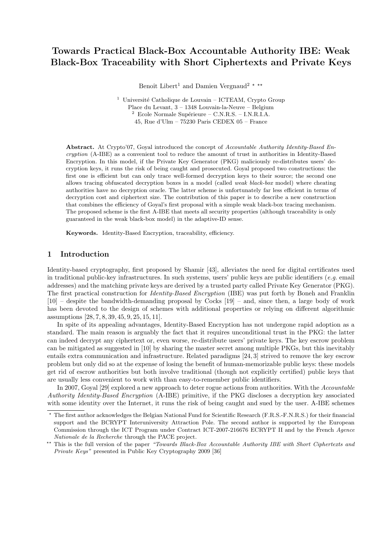# Towards Practical Black-Box Accountable Authority IBE: Weak Black-Box Traceability with Short Ciphertexts and Private Keys

Benoît Libert<sup>1</sup> and Damien Vergnaud<sup>2</sup> \* \*\*

<sup>1</sup> Université Catholique de Louvain – ICTEAM, Crypto Group Place du Levant, 3 – 1348 Louvain-la-Neuve – Belgium  $\text{Ecole Normale Supérieure} - \text{C.N.R.S.} - \text{I.N.R.I.A.}$ 45, Rue d'Ulm – 75230 Paris CEDEX 05 – France

Abstract. At Crypto'07, Goyal introduced the concept of Accountable Authority Identity-Based Encryption (A-IBE) as a convenient tool to reduce the amount of trust in authorities in Identity-Based Encryption. In this model, if the Private Key Generator (PKG) maliciously re-distributes users' decryption keys, it runs the risk of being caught and prosecuted. Goyal proposed two constructions: the first one is efficient but can only trace well-formed decryption keys to their source; the second one allows tracing obfuscated decryption boxes in a model (called weak black-box model) where cheating authorities have no decryption oracle. The latter scheme is unfortunately far less efficient in terms of decryption cost and ciphertext size. The contribution of this paper is to describe a new construction that combines the efficiency of Goyal's first proposal with a simple weak black-box tracing mechanism. The proposed scheme is the first A-IBE that meets all security properties (although traceability is only guaranteed in the weak black-box model) in the adaptive-ID sense.

Keywords. Identity-Based Encryption, traceability, efficiency.

## 1 Introduction

Identity-based cryptography, first proposed by Shamir [43], alleviates the need for digital certificates used in traditional public-key infrastructures. In such systems, users' public keys are public identifiers  $(e.g. \text{ email})$ addresses) and the matching private keys are derived by a trusted party called Private Key Generator (PKG). The first practical construction for Identity-Based Encryption (IBE) was put forth by Boneh and Franklin [10] – despite the bandwidth-demanding proposal by Cocks [19] – and, since then, a large body of work has been devoted to the design of schemes with additional properties or relying on different algorithmic assumptions [28, 7, 8, 39, 45, 9, 25, 15, 11].

In spite of its appealing advantages, Identity-Based Encryption has not undergone rapid adoption as a standard. The main reason is arguably the fact that it requires unconditional trust in the PKG: the latter can indeed decrypt any ciphertext or, even worse, re-distribute users' private keys. The key escrow problem can be mitigated as suggested in [10] by sharing the master secret among multiple PKGs, but this inevitably entails extra communication and infrastructure. Related paradigms [24, 3] strived to remove the key escrow problem but only did so at the expense of losing the benefit of human-memorizable public keys: these models get rid of escrow authorities but both involve traditional (though not explicitly certified) public keys that are usually less convenient to work with than easy-to-remember public identifiers.

In 2007, Goyal [29] explored a new approach to deter rogue actions from authorities. With the Accountable Authority Identity-Based Encryption (A-IBE) primitive, if the PKG discloses a decryption key associated with some identity over the Internet, it runs the risk of being caught and sued by the user. A-IBE schemes

<sup>?</sup> The first author acknowledges the Belgian National Fund for Scientific Research (F.R.S.-F.N.R.S.) for their financial support and the BCRYPT Interuniversity Attraction Pole. The second author is supported by the European Commission through the ICT Program under Contract ICT-2007-216676 ECRYPT II and by the French Agence Nationale de la Recherche through the PACE project.

<sup>\*\*</sup> This is the full version of the paper "Towards Black-Box Accountable Authority IBE with Short Ciphertexts and Private Keys" presented in Public Key Cryptography 2009 [36]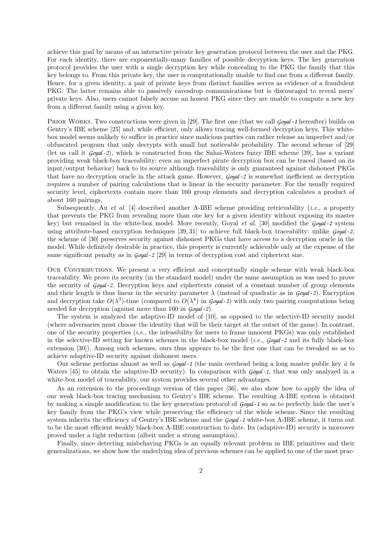achieve this goal by means of an interactive private key generation protocol between the user and the PKG. For each identity, there are exponentially-many families of possible decryption keys. The key generation protocol provides the user with a single decryption key while concealing to the PKG the family that this key belongs to. From this private key, the user is computationally unable to find one from a different family. Hence, for a given identity, a pair of private keys from distinct families serves as evidence of a fraudulent PKG. The latter remains able to passively eavesdrop communications but is discouraged to reveal users' private keys. Also, users cannot falsely accuse an honest PKG since they are unable to compute a new key from a different family using a given key.

PRIOR WORKS. Two constructions were given in [29]. The first one (that we call *Goyal* -1 hereafter) builds on Gentry's IBE scheme [25] and, while efficient, only allows tracing well-formed decryption keys. This whitebox model seems unlikely to suffice in practice since malicious parties can rather release an imperfect and/or obfuscated program that only decrypts with small but noticeable probability. The second scheme of [29] (let us call it *Goyal* -*2*), which is constructed from the Sahai-Waters fuzzy IBE scheme [39], has a variant providing weak black-box traceability: even an imperfect pirate decryption box can be traced (based on its input/output behavior) back to its source although traceability is only guaranteed against dishonest PKGs that have no decryption oracle in the attack game. However, *Goyal* -*2* is somewhat inefficient as decryption requires a number of pairing calculations that is linear in the security parameter. For the usually required security level, ciphertexts contain more than 160 group elements and decryption calculates a product of about 160 pairings.

Subsequently, Au *et al.* [4] described another A-IBE scheme providing retrievability (*i.e.*, a property that prevents the PKG from revealing more than one key for a given identity without exposing its master key) but remained in the white-box model. More recently, Goyal et al. [30] modified the *Goyal* -*2* system using attribute-based encryption techniques [39, 31] to achieve full black-box traceability: unlike *Goyal* -*2*, the scheme of [30] preserves security against dishonest PKGs that have access to a decryption oracle in the model. While definitely desirable in practice, this property is currently achievable only at the expense of the same significant penalty as in *Goyal* -*2* [29] in terms of decryption cost and ciphertext size.

OUR CONTRIBUTIONS. We present a very efficient and conceptually simple scheme with weak black-box traceability. We prove its security (in the standard model) under the same assumption as was used to prove the security of *Goyal* -*2*. Decryption keys and ciphertexts consist of a constant number of group elements and their length is thus linear in the security parameter  $\lambda$  (instead of quadratic as in *Goyal* -*2*). Encryption and decryption take  $O(\lambda^3)$ -time (compared to  $O(\lambda^4)$  in *Goyal*-2) with only two pairing computations being needed for decryption (against more than 160 in *Goyal* -*2*).

The system is analyzed the adaptive-ID model of [10], as opposed to the selective-ID security model (where adversaries must choose the identity that will be their target at the outset of the game). In contrast, one of the security properties (*i.e.*, the infeasibility for users to frame innocent PKGs) was only established in the selective-ID setting for known schemes in the black-box model (i.e., *Goyal* -*2* and its fully black-box extension [30]). Among such schemes, ours thus appears to be the first one that can be tweaked so as to achieve adaptive-ID security against dishonest users.

Our scheme performs almost as well as  $\frac{G\omega qd - 1}{h}$  (the main overhead being a long master public key  $\dot{a}$  la Waters [45] to obtain the adaptive-ID security). In comparison with *Goyal* -*1*, that was only analyzed in a white-box model of traceability, our system provides several other advantages.

As an extension to the proceedings version of this paper [36], we also show how to apply the idea of our weak black-box tracing mechanism to Gentry's IBE scheme. The resulting A-IBE system is obtained by making a simple modification to the key generation protocol of *Goyal* -*1* so as to perfectly hide the user's key family from the PKG's view while preserving the efficiency of the whole scheme. Since the resulting system inherits the efficiency of Gentry's IBE scheme and the *Goyal* -*1* white-box A-IBE scheme, it turns out to be the most efficient weakly black-box A-IBE construction to date. Its (adaptive-ID) security is moreover proved under a tight reduction (albeit under a strong assumption).

Finally, since detecting misbehaving PKGs is an equally relevant problem in IBE primitives and their generalizations, we show how the underlying idea of previous schemes can be applied to one of the most prac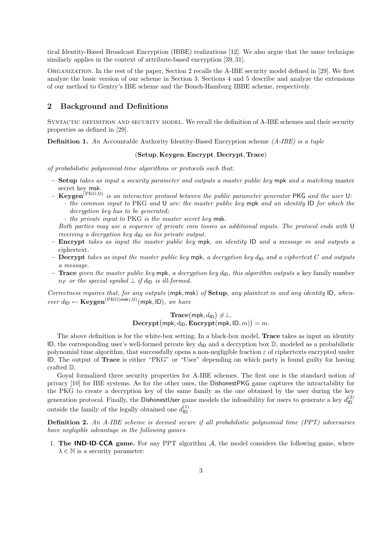tical Identity-Based Broadcast Encryption (IBBE) realizations [12]. We also argue that the same technique similarly applies in the context of attribute-based encryption [39, 31].

Organization. In the rest of the paper, Section 2 recalls the A-IBE security model defined in [29]. We first analyze the basic version of our scheme in Section 3. Sections 4 and 5 describe and analyze the extensions of our method to Gentry's IBE scheme and the Boneh-Hamburg IBBE scheme, respectively.

## 2 Background and Definitions

SYNTACTIC DEFINITION AND SECURITY MODEL. We recall the definition of A-IBE schemes and their security properties as defined in [29].

**Definition 1.** An Accountable Authority Identity-Based Encryption scheme  $(A-IBE)$  is a tuple

#### (Setup, Keygen, Encrypt, Decrypt, Trace)

of probabilistic polynomial-time algorithms or protocols such that:

- $-$  Setup takes as input a security parameter and outputs a master public key mpk and a matching master secret key msk.
- $-$  Keygen<sup>(PKG,U)</sup> is an interactive protocol between the public parameter generator PKG and the user U. · the common input to PKG and U are: the master public key mpk and an identity ID for which the decryption key has to be generated;

· the private input to PKG is the master secret key msk.

Both parties may use a sequence of private coin tosses as additional inputs. The protocol ends with U receiving a decryption key  $d_{\text{ID}}$  as his private output.

- Encrypt takes as input the master public key mpk, an identity ID and a message m and outputs a ciphertext.
- Decrypt takes as input the master public key mpk, a decryption key  $d_{\text{ID}}$  and a ciphertext C and outputs a message.
- **Trace** given the master public key mpk, a decryption key  $d_{\text{D}}$ , this algorithm outputs a key family number  $n_F$  or the special symbol  $\perp$  if  $d_{\mathsf{ID}}$  is ill-formed.

Correctness requires that, for any outputs (mpk, msk) of Setup, any plaintext m and any identity ID, when $ever d_{ID} \leftarrow \textbf{Keygen}^{(PKG(msk),U)}(\text{mpk}, ID), we have$ 

> $\textbf{Trace}(\textsf{mpk}, d_{\textsf{ID}}) \neq \perp,$  $\mathbf{Decrypt}(\mathsf{mpk}, d_{\mathsf{ID}}, \mathbf{Encrypt}(\mathsf{mpk}, \mathsf{ID}, m)) = m.$

The above definition is for the white-box setting. In a black-box model, **Trace** takes as input an identity ID, the corresponding user's well-formed private key  $d_{\text{ID}}$  and a decryption box  $\mathbb{D}$ , modeled as a probabilistic polynomial time algorithm, that successfully opens a non-negligible fraction  $\varepsilon$  of ciphertexts encrypted under ID. The output of Trace is either "PKG" or "User" depending on which party is found guilty for having crafted D.

Goyal formalized three security properties for A-IBE schemes. The first one is the standard notion of privacy [10] for IBE systems. As for the other ones, the DishonestPKG game captures the intractability for the PKG to create a decryption key of the same family as the one obtained by the user during the key generation protocol. Finally, the DishonestUser game models the infeasibility for users to generate a key  $d_{\text{ID}}^{(2)}$ ID outside the family of the legally obtained one  $d_{\mathsf{ID}}^{(1)}$ .

Definition 2. An A-IBE scheme is deemed secure if all probabilistic polynomial time (PPT) adversaries have negligible advantage in the following games.

1. The **IND-ID-CCA** game. For any PPT algorithm  $A$ , the model considers the following game, where  $\lambda \in \mathbb{N}$  is a security parameter: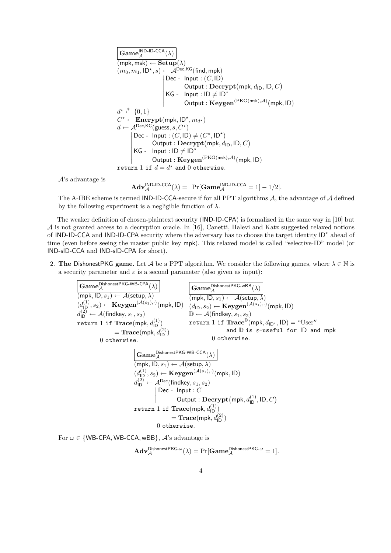| Game <sup>[ND-ID-CCA</sup> ( $\lambda$ )                                                  |
|-------------------------------------------------------------------------------------------|
| (mpk, msk) ← Setup( $\lambda$ )                                                           |
| (m <sub>0</sub> , m <sub>1</sub> , ID <sup>*</sup> , s) ← A <sup>Dec,KG</sup> (find, mpk) |
| Dec - Input : (C, ID)                                                                     |
| Output : Decrypt(mpk, d <sub>ID</sub> , ID, C)                                            |
| KG - Input : ID ≠ ID <sup>*</sup>                                                         |
| Output : Keygen <sup>(PKG(msk), A)</sup> (mpk, ID)                                        |
| $d^* \stackrel{\$}{\leftarrow} \{0, 1\}$                                                  |
| $C^* \leftarrow$ Encrypt(mpk, ID <sup>*</sup> , m <sub>d*</sub> )                         |
| $d \leftarrow A^{Dec,KG}(guess, s, C^*)$                                                  |
| Dec - Input : (C, ID) ≠ (C*, ID <sup>*</sup> )                                            |
| Output : Decrypt(mpk, d <sub>ID</sub> , ID, C)                                            |
| KG - Input : ID ≠ ID <sup>*</sup>                                                         |
| Output : Keygen <sup>(PKG(msk), A)</sup> (mpk, ID)                                        |
| return 1 if d = d <sup>*</sup> and 0 otherwise.                                           |

A's advantage is

$$
\mathbf{Adv}_{\mathcal{A}}^{\mathsf{IND}\text{-}\mathsf{ID}\text{-}\mathsf{CCA}}(\lambda) = |\Pr[\mathbf{Game}_{\mathcal{A}}^{\mathsf{IND}\text{-}\mathsf{ID}\text{-}\mathsf{CCA}} = 1] - 1/2|.
$$

The A-IBE scheme is termed IND-ID-CCA-secure if for all PPT algorithms A, the advantage of A defined by the following experiment is a negligible function of  $\lambda$ .

The weaker definition of chosen-plaintext security (IND-ID-CPA) is formalized in the same way in [10] but A is not granted access to a decryption oracle. In [16], Canetti, Halevi and Katz suggested relaxed notions of IND-ID-CCA and IND-ID-CPA security where the adversary has to choose the target identity ID<sup>\*</sup> ahead of time (even before seeing the master public key mpk). This relaxed model is called "selective-ID" model (or IND-sID-CCA and IND-sID-CPA for short).

2. The DishonestPKG game. Let A be a PPT algorithm. We consider the following games, where  $\lambda \in \mathbb{N}$  is a security parameter and  $\varepsilon$  is a second parameter (also given as input):

| Game <sup>DishonestPKG-WB-CPA</sup> ( $\lambda$ )                                                                                                 | Game <sup>DishonestPKG-WB</sup> ( $\lambda$ )                              |
|---------------------------------------------------------------------------------------------------------------------------------------------------|----------------------------------------------------------------------------|
| $(mpk, ID, s_1) \leftarrow A(setyp, \lambda)$                                                                                                     | $(mpk, ID, s_1) \leftarrow A(setyp, \lambda)$                              |
| $(d_{1D}^{(1)}, s_2) \leftarrow \text{Keygen}^{(A(s_1), \cdot)}(mpk, ID) \quad (d_{1D}, s_2) \leftarrow \text{Keygen}^{(A(s_1), \cdot)}(mpk, ID)$ |                                                                            |
| $d_{1D}^{(2)} \leftarrow A(\text{findkey}, s_1, s_2)$                                                                                             | $\mathbb{D} \leftarrow A(\text{findkey}, s_1, s_2)$                        |
| return 1 if Trace(mpk, d_{1D}^{(2)})                                                                                                              | $\text{return 1 if Trace}^{\text{D}}(mpk, d_{1D^*}, ID) = \text{``User''}$ |
| $= Trace(mpk, d_{1D}^{(2)})$                                                                                                                      | $\text{otherwise.}$                                                        |
| $(Game_A^{\text{D}}^{\text{dishonestPKG-WB-CCA}}(\lambda)$                                                                                        |                                                                            |
| $(mk, ID, s_1) \leftarrow A(\text{setup}, \lambda)$                                                                                               |                                                                            |
| $(d_{1D}^{(1)}, s_2) \leftarrow \text{Keygen}^{(A(s_1), \cdot)}(mpk, ID)$                                                                         |                                                                            |
| $d_{1D}^{(2)} \leftarrow A^{\text{Dec}}(\text{findkey}, s_1, s_2)$                                                                                |                                                                            |
| $Dec - Input : C$                                                                                                                                 |                                                                            |
| $Output : Decrypt(mpk, d_{1D}^{(1)}, ID, C)$                                                                                                      |                                                                            |
| $return 1$ if Trace(mpk, d_{1D}^{(1)})                                                                                                            |                                                                            |
| $= Trace(mpk, d_{1D}^{(2)})$                                                                                                                      |                                                                            |
| $0$ otherwise.                                                                                                                                    |                                                                            |

For  $\omega \in \{\text{WB-CPA}, \text{WB-CCA}, \text{wBB}\}, \mathcal{A}$ 's advantage is

$$
\mathbf{Adv}_{\mathcal{A}}^{\mathsf{DishonestPKG-}\omega}(\lambda) = \Pr[\mathbf{Game}_{\mathcal{A}}^{\mathsf{DishonestPKG-}\omega} = 1].
$$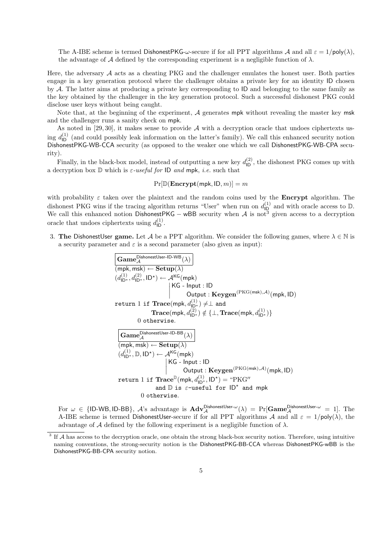The A-IBE scheme is termed DishonestPKG- $\omega$ -secure if for all PPT algorithms A and all  $\varepsilon = 1/\text{poly}(\lambda)$ . the advantage of A defined by the corresponding experiment is a negligible function of  $\lambda$ .

Here, the adversary  $A$  acts as a cheating PKG and the challenger emulates the honest user. Both parties engage in a key generation protocol where the challenger obtains a private key for an identity ID chosen by A. The latter aims at producing a private key corresponding to ID and belonging to the same family as the key obtained by the challenger in the key generation protocol. Such a successful dishonest PKG could disclose user keys without being caught.

Note that, at the beginning of the experiment,  $A$  generates mpk without revealing the master key msk and the challenger runs a sanity check on mpk.

As noted in  $[29, 30]$ , it makes sense to provide  $A$  with a decryption oracle that undoes ciphertexts using  $d_{\text{ID}}^{(1)}$  (and could possibly leak information on the latter's family). We call this enhanced security notion DishonestPKG-WB-CCA security (as opposed to the weaker one which we call DishonestPKG-WB-CPA security).

Finally, in the black-box model, instead of outputting a new key  $d_{\text{ID}}^{(2)}$ , the dishonest PKG comes up with a decryption box  $D$  which is  $\varepsilon$ -useful for ID and mpk, i.e. such that

$$
Pr[\mathbb{D}(\mathbf{Encrypt(mpk}, \mathsf{ID}, m)] = m
$$

with probability  $\varepsilon$  taken over the plaintext and the random coins used by the **Encrypt** algorithm. The dishonest PKG wins if the tracing algorithm returns "User" when run on  $d_{\text{ID}}^{(1)}$  and with oracle access to D. We call this enhanced notion DishonestPKG – wBB security when  $A$  is not<sup>3</sup> given access to a decryption oracle that undoes ciphertexts using  $d_{\text{ID}}^{(1)}$ .

3. The DishonestUser game. Let A be a PPT algorithm. We consider the following games, where  $\lambda \in \mathbb{N}$  is a security parameter and  $\varepsilon$  is a second parameter (also given as input):



For  $\omega \in \{\text{ID-WB}, \text{ID-BB}\},\ \mathcal{A}$ 's advantage is  $\mathbf{Adv}_{\mathcal{A}}^{\mathsf{DishonestUser}-\omega}(\lambda) = \Pr[\mathbf{Game}_{\mathcal{A}}^{\mathsf{DishonestUser}-\omega} = 1].$  The A-IBE scheme is termed DishonestUser-secure if for all PPT algorithms A and all  $\varepsilon = 1/\text{poly}(\lambda)$ , the advantage of A defined by the following experiment is a negligible function of  $\lambda$ .

<sup>&</sup>lt;sup>3</sup> If A has access to the decryption oracle, one obtain the strong black-box security notion. Therefore, using intuitive naming conventions, the strong-security notion is the DishonestPKG-BB-CCA whereas DishonestPKG-wBB is the DishonestPKG-BB-CPA security notion.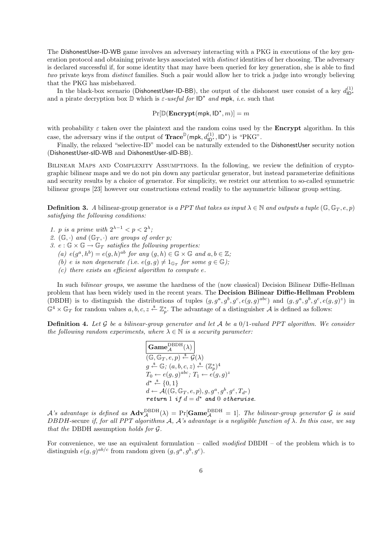The DishonestUser-ID-WB game involves an adversary interacting with a PKG in executions of the key generation protocol and obtaining private keys associated with distinct identities of her choosing. The adversary is declared successful if, for some identity that may have been queried for key generation, she is able to find two private keys from distinct families. Such a pair would allow her to trick a judge into wrongly believing that the PKG has misbehaved.

In the black-box scenario (DishonestUser-ID-BB), the output of the dishonest user consist of a key  $d_{\text{ID}}^{(1)}$ and a pirate decryption box  $\mathbb{D}$  which is  $\varepsilon$ -useful for  $\mathsf{ID}^*$  and mpk, i.e. such that

$$
\Pr[\mathbb{D}(\mathbf{Encrypt(mpk}, \mathsf{ID}^\star, m)] = m
$$

with probability  $\varepsilon$  taken over the plaintext and the random coins used by the **Encrypt** algorithm. In this case, the adversary wins if the output of  $\textbf{Trace}^{\mathbb{D}}(\textsf{mpk}, d_{\textsf{ID}}^{(1)}, \textsf{ID}^*)$  is "PKG".

Finally, the relaxed "selective-ID" model can be naturally extended to the DishonestUser security notion (DishonestUser-sID-WB and DishonestUser-sID-BB).

Bilinear Maps and Complexity Assumptions. In the following, we review the definition of cryptographic bilinear maps and we do not pin down any particular generator, but instead parameterize definitions and security results by a choice of generator. For simplicity, we restrict our attention to so-called symmetric bilinear groups [23] however our constructions extend readily to the asymmetric bilinear group setting.

**Definition 3.** A bilinear-group generator is a PPT that takes as input  $\lambda \in \mathbb{N}$  and outputs a tuple (G, G<sub>T</sub>, e, p) satisfying the following conditions:

- 1. p is a prime with  $2^{\lambda-1} < p < 2^{\lambda}$ ;
- 2.  $(\mathbb{G}, \cdot)$  and  $(\mathbb{G}_T, \cdot)$  are groups of order p;
- 3.  $e : \mathbb{G} \times \mathbb{G} \to \mathbb{G}_T$  satisfies the following properties:
	- (a)  $e(g^a, h^b) = e(g, h)^{ab}$  for any  $(g, h) \in \mathbb{G} \times \mathbb{G}$  and  $a, b \in \mathbb{Z}$ ;
	- (b) e is non degenerate (i.e.  $e(g, g) \neq 1_{\mathbb{G}_T}$  for some  $g \in \mathbb{G}$ );
	- $(c)$  there exists an efficient algorithm to compute e.

In such *bilinear groups*, we assume the hardness of the (now classical) Decision Bilinear Diffie-Hellman problem that has been widely used in the recent years. The Decision Bilinear Diffie-Hellman Problem (DBDH) is to distinguish the distributions of tuples  $(g, g^a, g^b, g^c, e(g, g)^{abc})$  and  $(g, g^a, g^b, g^c, e(g, g)^z)$  in  $\mathbb{G}^4 \times \mathbb{G}_T$  for random values  $a, b, c, z \stackrel{s}{\leftarrow} \mathbb{Z}_p^*$ . The advantage of a distinguisher A is defined as follows:

**Definition 4.** Let G be a bilinear-group generator and let A be a  $0/1$ -valued PPT algorithm. We consider the following random experiments, where  $\lambda \in \mathbb{N}$  is a security parameter:

> $\mathbf{Game}^\mathrm{DBDH}_\mathcal{A}(\lambda)$  $\overline{(\mathbb{G}, \mathbb{G}_T, e, p) \stackrel{\hspace{0.1em}\mathbb{S}}{\leftarrow} \mathcal{G}(\lambda)}$  $g \stackrel{\$} {\leftarrow} \mathbb{G}$ ;  $(a, b, c, z) \stackrel{\$} {\leftarrow} (\mathbb{Z}_p^*)^4$  $T_0 \leftarrow e(g,g)^{abc}; T_1 \leftarrow e(g,g)^z$  $d^* \stackrel{\$}{\leftarrow} \{0,1\}$  $d \leftarrow \mathcal{A}((\mathbb{G},\mathbb{G}_T,e,p),g,g^a,g^b,g^c,T_{d^\star})$ return 1 if  $d = d^*$  and 0 otherwise.

 $\mathcal{A}$ 's advantage is defined as  $\mathbf{Adv}_{\mathcal{A}}^{\mathrm{DBDH}}(\lambda) = \Pr[\mathbf{Game}^{\mathrm{DBDH}}_{\mathcal{A}} = 1]$ . The bilinear-group generator  $\mathcal G$  is said DBDH-secure if, for all PPT algorithms  $A$ ,  $A$ 's advantage is a negligible function of  $\lambda$ . In this case, we say that the DBDH assumption holds for  $\mathcal G$ .

For convenience, we use an equivalent formulation – called  $modified$  DBDH – of the problem which is to distinguish  $e(g, g)^{ab/c}$  from random given  $(g, g^a, g^b, g^c)$ .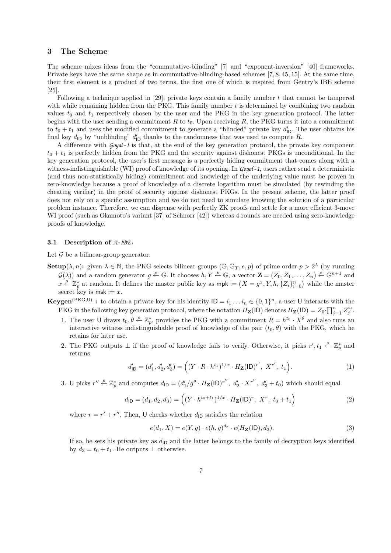## 3 The Scheme

The scheme mixes ideas from the "commutative-blinding" [7] and "exponent-inversion" [40] frameworks. Private keys have the same shape as in commutative-blinding-based schemes [7, 8, 45, 15]. At the same time, their first element is a product of two terms, the first one of which is inspired from Gentry's IBE scheme [25].

Following a technique applied in [29], private keys contain a family number t that cannot be tampered with while remaining hidden from the PKG. This family number  $t$  is determined by combining two random values  $t_0$  and  $t_1$  respectively chosen by the user and the PKG in the key generation protocol. The latter begins with the user sending a commitment  $R$  to  $t_0$ . Upon receiving  $R$ , the PKG turns it into a commitment to  $t_0 + t_1$  and uses the modified commitment to generate a "blinded" private key  $d'_{\text{ID}}$ . The user obtains his final key  $d_{\text{ID}}$  by "unblinding"  $d'_{\text{ID}}$  thanks to the randomness that was used to compute R.

A difference with *Goyal* -*1* is that, at the end of the key generation protocol, the private key component  $t_0 + t_1$  is perfectly hidden from the PKG and the security against dishonest PKGs is unconditional. In the key generation protocol, the user's first message is a perfectly hiding commitment that comes along with a witness-indistinguishable (WI) proof of knowledge of its opening. In *Goyal* -*1*, users rather send a deterministic (and thus non-statistically hiding) commitment and knowledge of the underlying value must be proven in zero-knowledge because a proof of knowledge of a discrete logarithm must be simulated (by rewinding the cheating verifier) in the proof of security against dishonest PKGs. In the present scheme, the latter proof does not rely on a specific assumption and we do not need to simulate knowing the solution of a particular problem instance. Therefore, we can dispense with perfectly ZK proofs and settle for a more efficient 3-move WI proof (such as Okamoto's variant [37] of Schnorr [42]) whereas 4 rounds are needed using zero-knowledge proofs of knowledge.

#### 3.1 Description of *A*-*IBE<sup>1</sup>*

Let  $\mathcal G$  be a bilinear-group generator.

- **Setup**( $\lambda, n$ ): given  $\lambda \in \mathbb{N}$ , the PKG selects bilinear groups ( $\mathbb{G}, \mathbb{G}_T, e, p$ ) of prime order  $p > 2^{\lambda}$  (by running  $\mathcal{G}(\lambda)$  and a random generator  $g \stackrel{\hspace{0.1em}\mathsf{\scriptscriptstyle\$}}{\leftarrow} \mathbb{G}$ . It chooses  $h, Y \stackrel{\hspace{0.1em}\mathsf{\scriptscriptstyle\$}}{\leftarrow} \mathbb{G}$ , a vector  $\mathbf{Z} = (Z_0, Z_1, \ldots, Z_n) \stackrel{\hspace{0.1em}\mathsf{\scriptscriptstyle\$}}{\leftarrow} \mathbb{G}^{n+1}$  and  $x \stackrel{\$}{\leftarrow} \mathbb{Z}_p^*$  at random. It defines the master public key as  $mpk := (X = g^x, Y, h, \{Z_i\}_{i=0}^n)$  while the master secret key is  $msk := x$ .
- **Keygen**<sup>(PKG,U)</sup>: to obtain a private key for his identity  $ID = i_1 ... i_n \in \{0,1\}^n$ , a user U interacts with the PKG in the following key generation protocol, where the notation  $H_{\mathbf{Z}}(ID)$  denotes  $H_{\mathbf{Z}}(ID) = Z_0 \cdot \prod_{j=1}^n Z_j^{i_j}$ .
	- 1. The user U draws  $t_0, \theta \stackrel{\$}{\leftarrow} \mathbb{Z}_p^*$ , provides the PKG with a commitment  $R = h^{t_0} \cdot X^{\theta}$  and also runs an interactive witness indistinguishable proof of knowledge of the pair  $(t_0, \theta)$  with the PKG, which he retains for later use.
	- 2. The PKG outputs  $\perp$  if the proof of knowledge fails to verify. Otherwise, it picks  $r', t_1 \stackrel{s}{\leftarrow} \mathbb{Z}_p^*$  and returns

$$
d'_{\mathsf{ID}} = (d'_1, d'_2, d'_3) = \Big((Y \cdot R \cdot h^{t_1})^{1/x} \cdot H_{\mathbf{Z}}(\mathsf{ID})^{r'}, X^{r'}, t_1\Big). \tag{1}
$$

3. U picks  $r'' \stackrel{\$}{\leftarrow} \mathbb{Z}_p^*$  and computes  $d_{\mathsf{ID}} = (d'_1/g^{\theta} \cdot H_{\mathbf{Z}}(\mathsf{ID})^{r''}, d'_2 \cdot X^{r''}, d'_3 + t_0)$  which should equal

$$
d_{\mathsf{ID}} = (d_1, d_2, d_3) = \left( (Y \cdot h^{t_0 + t_1})^{1/x} \cdot H_{\mathbf{Z}}(\mathsf{ID})^r, \ X^r, \ t_0 + t_1 \right) \tag{2}
$$

where  $r = r' + r''$ . Then, U checks whether  $d_{\text{ID}}$  satisfies the relation

$$
e(d_1, X) = e(Y, g) \cdot e(h, g)^{d_3} \cdot e(H_\mathbf{Z}(\mathsf{ID}), d_2). \tag{3}
$$

If so, he sets his private key as  $d_{\text{ID}}$  and the latter belongs to the family of decryption keys identified by  $d_3 = t_0 + t_1$ . He outputs  $\perp$  otherwise.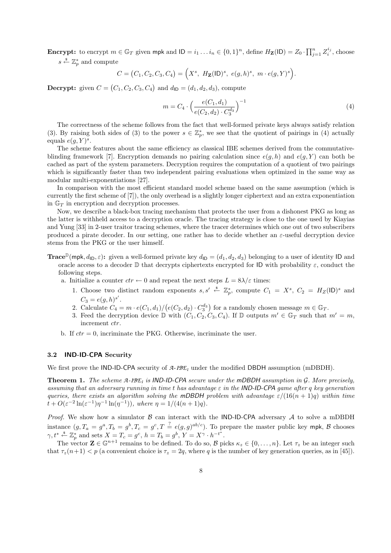**Encrypt:** to encrypt  $m \in \mathbb{G}_T$  given mpk and  $ID = i_1 \dots i_n \in \{0,1\}^n$ , define  $H_{\mathbf{Z}}(ID) = Z_0 \cdot \prod_{j=1}^n Z_i^{i_j}$ , choose  $s \overset{\hspace{0.1em}\mathsf{\scriptscriptstyle\$}}{\leftarrow} \mathbb{Z}_p^*$  and compute

$$
C = (C_1, C_2, C_3, C_4) = \Big(X^s, H_{\mathbf{Z}}(ID)^s, e(g, h)^s, m \cdot e(g, Y)^s\Big).
$$

**Decrypt:** given  $C = (C_1, C_2, C_3, C_4)$  and  $d_{\mathsf{ID}} = (d_1, d_2, d_3)$ , compute

$$
m = C_4 \cdot \left(\frac{e(C_1, d_1)}{e(C_2, d_2) \cdot C_3^{d_3}}\right)^{-1}
$$
\n<sup>(4)</sup>

The correctness of the scheme follows from the fact that well-formed private keys always satisfy relation (3). By raising both sides of (3) to the power  $s \in \mathbb{Z}_p^*$ , we see that the quotient of pairings in (4) actually equals  $e(g, Y)^s$ .

The scheme features about the same efficiency as classical IBE schemes derived from the commutativeblinding framework [7]. Encryption demands no pairing calculation since  $e(q, h)$  and  $e(q, Y)$  can both be cached as part of the system parameters. Decryption requires the computation of a quotient of two pairings which is significantly faster than two independent pairing evaluations when optimized in the same way as modular multi-exponentiations [27].

In comparison with the most efficient standard model scheme based on the same assumption (which is currently the first scheme of [7]), the only overhead is a slightly longer ciphertext and an extra exponentiation in  $\mathbb{G}_T$  in encryption and decryption processes.

Now, we describe a black-box tracing mechanism that protects the user from a dishonest PKG as long as the latter is withheld access to a decryption oracle. The tracing strategy is close to the one used by Kiayias and Yung [33] in 2-user traitor tracing schemes, where the tracer determines which one out of two subscribers produced a pirate decoder. In our setting, one rather has to decide whether an  $\varepsilon$ -useful decryption device stems from the PKG or the user himself.

- **Trace**<sup>D</sup>(mpk,  $d_{\text{ID}}, \varepsilon$ ): given a well-formed private key  $d_{\text{ID}} = (d_1, d_2, d_3)$  belonging to a user of identity ID and oracle access to a decoder  $\mathbb D$  that decrypts ciphertexts encrypted for ID with probability  $\varepsilon$ , conduct the following steps.
	- a. Initialize a counter  $ctr \leftarrow 0$  and repeat the next steps  $L = 8\lambda/\varepsilon$  times:
		- 1. Choose two distinct random exponents  $s, s' \stackrel{s}{\leftarrow} \mathbb{Z}_p^*$ , compute  $C_1 = X^s$ ,  $C_2 = H_Z(\mathsf{ID})^s$  and  $C_3 = e(g, h)^{s'}$ .
		- 2. Calculate  $C_4 = m \cdot e(C_1, d_1) / (e(C_2, d_2) \cdot C_3^{d_3})$  for a randomly chosen message  $m \in \mathbb{G}_T$ .
		- 3. Feed the decryption device  $\mathbb{D}$  with  $(C_1, C_2, C_3, C_4)$ . If  $\mathbb{D}$  outputs  $m' \in \mathbb{G}_T$  such that  $m' = m$ , increment *ctr*.
	- b. If  $ctr = 0$ , incriminate the PKG. Otherwise, incriminate the user.

## 3.2 IND-ID-CPA Security

We first prove the IND-ID-CPA security of *A*-*IBE<sup>1</sup>* under the modified DBDH assumption (mDBDH).

Theorem 1. The scheme *A*-*IBE<sup>1</sup>* is IND-ID-CPA secure under the mDBDH assumption in G. More precisely, assuming that an adversary running in time t has advantage  $\varepsilon$  in the **IND-ID-CPA** game after q key generation queries, there exists an algorithm solving the mDBDH problem with advantage  $\varepsilon/(16(n+1)q)$  within time  $t + O(\varepsilon^{-2} \ln(\varepsilon^{-1}) \eta^{-1} \ln(\eta^{-1}))$ , where  $\eta = 1/(4(n+1)q)$ .

*Proof.* We show how a simulator  $\beta$  can interact with the IND-ID-CPA adversary  $\mathcal A$  to solve a mDBDH instance  $(g, T_a = g^a, T_b = g^b, T_c = g^c, T \stackrel{?}{=} e(g, g)^{ab/c}$ ). To prepare the master public key mpk, B chooses  $\gamma, t^* \stackrel{\$}{\leftarrow} \mathbb{Z}_p^*$  and sets  $X = T_c = g^c$ ,  $h = T_b = g^b$ ,  $Y = X^{\gamma} \cdot h^{-t^*}$ .

The vector  $\mathbf{Z} \in \mathbb{G}^{n+1}$  remains to be defined. To do so,  $\mathcal{B}$  picks  $\kappa_z \in \{0, \ldots, n\}$ . Let  $\tau_z$  be an integer such that  $\tau_z(n+1) < p$  (a convenient choice is  $\tau_z = 2q$ , where q is the number of key generation queries, as in [45]).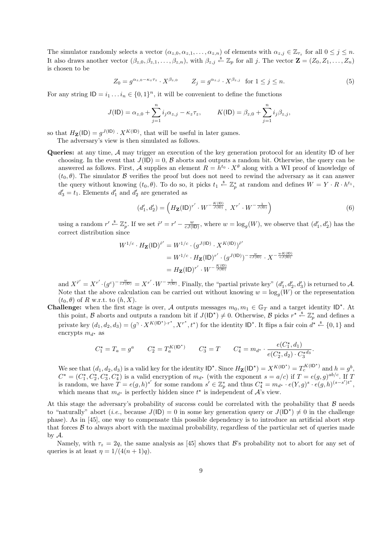The simulator randomly selects a vector  $(\alpha_{z,0}, \alpha_{z,1}, \ldots, \alpha_{z,n})$  of elements with  $\alpha_{z,j} \in \mathbb{Z}_{\tau_z}$  for all  $0 \leq j \leq n$ . It also draws another vector  $(\beta_{z,0}, \beta_{z,1}, \ldots, \beta_{z,n})$ , with  $\beta_{z,j} \stackrel{\$}{\leftarrow} \mathbb{Z}_p$  for all j. The vector  $\mathbf{Z} = (Z_0, Z_1, \ldots, Z_n)$ is chosen to be

$$
Z_0 = g^{\alpha_{z,0} - \kappa_z \tau_z} \cdot X^{\beta_{z,0}} \qquad Z_j = g^{\alpha_{z,j}} \cdot X^{\beta_{z,j}} \quad \text{for } 1 \le j \le n. \tag{5}
$$

For any string  $\mathsf{ID} = i_1 \dots i_n \in \{0,1\}^n$ , it will be convenient to define the functions

$$
J(\mathsf{ID}) = \alpha_{z,0} + \sum_{j=1}^{n} i_j \alpha_{z,j} - \kappa_z \tau_z, \qquad K(\mathsf{ID}) = \beta_{z,0} + \sum_{j=1}^{n} i_j \beta_{z,j},
$$

so that  $H_{\mathbf{Z}}(\mathsf{ID}) = g^{J(\mathsf{ID})} \cdot X^{K(\mathsf{ID})}$ , that will be useful in later games.

The adversary's view is then simulated as follows.

Queries: at any time, A may trigger an execution of the key generation protocol for an identity ID of her choosing. In the event that  $J(\mathsf{ID}) = 0$ ,  $\mathcal B$  aborts and outputs a random bit. Otherwise, the query can be answered as follows. First, A supplies an element  $R = h^{t_0} \cdot X^{\theta}$  along with a WI proof of knowledge of  $(t_0, \theta)$ . The simulator  $\beta$  verifies the proof but does not need to rewind the adversary as it can answer the query without knowing  $(t_0, \theta)$ . To do so, it picks  $t_1 \stackrel{s}{\leftarrow} \mathbb{Z}_p^*$  at random and defines  $W = Y \cdot R \cdot h^{t_1}$ ,  $d'_3 = t_1$ . Elements  $d'_1$  and  $d'_2$  are generated as

$$
(d'_1, d'_2) = \left( H_{\mathbf{Z}} (ID)^{r'} \cdot W^{-\frac{K(ID)}{J(ID)}}, X^{r'} \cdot W^{-\frac{1}{J(ID)}} \right)
$$
 (6)

using a random  $r' \stackrel{\$}{\leftarrow} \mathbb{Z}_p^*$ . If we set  $\tilde{r}' = r' - \frac{w}{cJ(D)}$ , where  $w = \log_g(W)$ , we observe that  $(d'_1, d'_2)$  has the correct distribution since

$$
W^{1/c} \cdot H_{\mathbf{Z}}(ID)^{\tilde{r}'} = W^{1/c} \cdot (g^{J(ID)} \cdot X^{K(ID)})^{\tilde{r}'}
$$
  
=  $W^{1/c} \cdot H_{\mathbf{Z}}(ID)^{r'} \cdot (g^{J(ID)})^{-\frac{w}{cJ(ID)}} \cdot X^{-\frac{wK(ID)}{cJ(ID)}}$   
=  $H_{\mathbf{Z}}(ID)^{r'} \cdot W^{-\frac{K(ID)}{J(ID)}}$ 

and  $X^{\tilde{r}'} = X^{r'} \cdot (g^c)^{-\frac{w}{cJ([D])}} = X^{r'} \cdot W^{-\frac{1}{J([D])}}$ . Finally, the "partial private key"  $(d'_1, d'_2, d'_3)$  is returned to A. Note that the above calculation can be carried out without knowing  $w = \log_g(W)$  or the representation  $(t_0, \theta)$  of R w.r.t. to  $(h, X)$ .

**Challenge:** when the first stage is over, A outputs messages  $m_0, m_1 \in \mathbb{G}_T$  and a target identity ID<sup>\*</sup>. At this point, B aborts and outputs a random bit if  $J(\mathsf{ID}^{\star}) \neq 0$ . Otherwise, B picks  $r^{\star} \stackrel{\tilde{*}}{\leftarrow} \mathbb{Z}_p^*$  and defines a private key  $(d_1, d_2, d_3) = (g^{\gamma} \cdot X^{K(\mathsf{ID}^{\star}) \cdot r^{\star}}, X^{r^{\star}}, t^{\star})$  for the identity  $\mathsf{ID}^{\star}$ . It flips a fair coin  $d^{\star} \stackrel{\$}{\leftarrow} \{0, 1\}$  and encrypts  $m_{d^*}$  as

$$
C_1^{\star} = T_a = g^a \qquad C_2^{\star} = T_a^{K(\text{ID}^{\star})} \qquad C_3^{\star} = T \qquad C_4^{\star} = m_{d^{\star}} \cdot \frac{e(C_1^{\star}, d_1)}{e(C_2^{\star}, d_2) \cdot C_3^{\star d_3}}.
$$

We see that  $(d_1, d_2, d_3)$  is a valid key for the identity  $ID^{\star}$ . Since  $H_{\mathbf{Z}}(ID^{\star}) = X^{K(ID^{\star})} = T_c^{K(ID^{\star})}$  and  $h = g^b$ ,  $C^* = (C_1^*, C_2^*, C_3^*, C_4^*)$  is a valid encryption of  $m_{d^*}$  (with the exponent  $s = a/c$ ) if  $T = e(g, g)^{ab/c}$ . If T is random, we have  $T = e(g, h)^{s'}$  for some random  $s' \in \mathbb{Z}_p^*$  and thus  $C_4^* = m_{d^*} \cdot e(Y, g)^s \cdot e(g, h)^{(s-s')t^*}$ , which means that  $m_{d^*}$  is perfectly hidden since  $t^*$  is independent of  $\mathcal{A}$ 's view.

At this stage the adversary's probability of success could be correlated with the probability that  $\beta$  needs to "naturally" abort (*i.e.*, because  $J($ ID) = 0 in some key generation query or  $J($ ID<sup>\*</sup>)  $\neq$  0 in the challenge phase). As in [45], one way to compensate this possible dependency is to introduce an artificial abort step that forces  $\beta$  to always abort with the maximal probability, regardless of the particular set of queries made by A.

Namely, with  $\tau_z = 2q$ , the same analysis as [45] shows that B's probability not to abort for any set of queries is at least  $\eta = 1/(4(n+1)q)$ .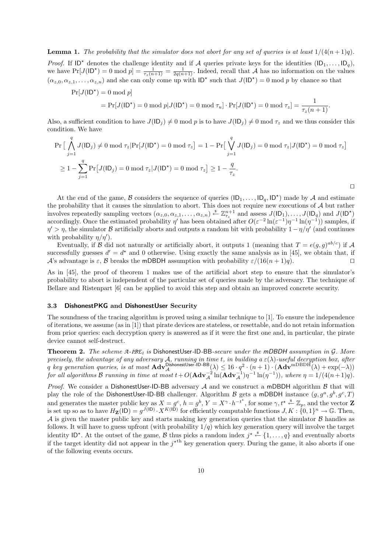*Proof.* If  $ID^*$  denotes the challenge identity and if A queries private keys for the identities  $(ID_1, \ldots, ID_q)$ , we have  $Pr[J(\mathsf{ID}^*)=0 \mod p] = \frac{1}{\tau_z(n+1)} = \frac{1}{2q(n+1)}$ . Indeed, recall that A has no information on the values  $(\alpha_{z,0}, \alpha_{z,1}, \ldots, \alpha_{z,n})$  and she can only come up with  $ID^*$  such that  $J(ID^*) = 0 \mod p$  by chance so that

$$
\Pr[J(\mathsf{ID}^*) = 0 \mod p] \n= \Pr[J(\mathsf{ID}^*) = 0 \mod p | J(\mathsf{ID}^*) = 0 \mod \tau_u] \cdot \Pr[J(\mathsf{ID}^*) = 0 \mod \tau_z] = \frac{1}{\tau_z(n+1)}.
$$

Also, a sufficient condition to have  $J(\mathsf{ID}_j) \neq 0 \text{ mod } p$  is to have  $J(\mathsf{ID}_j) \neq 0 \text{ mod } \tau_z$  and we thus consider this condition. We have

$$
\Pr\left[\bigwedge_{j=1}^{q} J(\mathsf{ID}_j) \neq 0 \mod \tau_z | \Pr[J(\mathsf{ID}^*) = 0 \mod \tau_z] \right] = 1 - \Pr\left[\bigvee_{j=1}^{q} J(\mathsf{ID}_j) = 0 \mod \tau_z | J(\mathsf{ID}^*) = 0 \mod \tau_z\right]
$$
\n
$$
\geq 1 - \sum_{j=1}^{q} \Pr\left[J(\mathsf{ID}_j) = 0 \mod \tau_z | J(\mathsf{ID}^*) = 0 \mod \tau_z\right] \geq 1 - \frac{q}{\tau_z}.
$$

At the end of the game, B considers the sequence of queries  $(\mathsf{ID}_1, \ldots, \mathsf{ID}_q, \mathsf{ID}^*)$  made by A and estimate the probability that it causes the simulation to abort. This does not require new executions of A but rather involves repeatedly sampling vectors  $(\alpha_{z,0}, \alpha_{z,1}, \ldots, \alpha_{z,n}) \stackrel{s}{\leftarrow} \mathbb{Z}_{\tau_z}^{n+1}$  and assess  $J(\mathsf{ID}_1), \ldots, J(\mathsf{ID}_q)$  and  $J(\mathsf{ID}^{\star})$ accordingly. Once the estimated probability  $\eta'$  has been obtained after  $O(\varepsilon^{-2} \ln(\varepsilon^{-1}) \eta^{-1} \ln(\eta^{-1}))$  samples, if  $\eta' > \eta$ , the simulator B artificially aborts and outputs a random bit with probability  $1 - \eta/\eta'$  (and continues with probability  $\eta/\eta'$ ).

Eventually, if B did not naturally or artificially abort, it outputs 1 (meaning that  $T = e(g, g)^{ab/c}$ ) if A successfully guesses  $d' = d^*$  and 0 otherwise. Using exactly the same analysis as in [45], we obtain that, if A's advantage is  $\varepsilon$ , B breaks the mDBDH assumption with probability  $\varepsilon/(16(n+1)q)$ .

As in [45], the proof of theorem 1 makes use of the artificial abort step to ensure that the simulator's probability to abort is independent of the particular set of queries made by the adversary. The technique of Bellare and Ristenpart [6] can be applied to avoid this step and obtain an improved concrete security.

### 3.3 DishonestPKG and DishonestUser Security

The soundness of the tracing algorithm is proved using a similar technique to [1]. To ensure the independence of iterations, we assume (as in [1]) that pirate devices are stateless, or resettable, and do not retain information from prior queries: each decryption query is answered as if it were the first one and, in particular, the pirate device cannot self-destruct.

Theorem 2. The scheme *A*-*IBE<sup>1</sup>* is DishonestUser-ID-BB-secure under the mDBDH assumption in G. More precisely, the advantage of any adversary A, running in time t, in building  $a \in (\lambda)$ -useful decryption box, after  $q$  key generation queries, is at most  $\mathbf{Adv}_{\mathcal{A}}^{\mathsf{DishonestUser-ID-BB}}(\lambda) \leq 16 \cdot q^{2} \cdot (n+1) \cdot (\mathbf{Adv}^{\text{mDBDH}}(\lambda) + \exp(-\lambda))$ for all algorithms B running in time at most  $t + O(\mathbf{Adv}_{\mathcal{A}}^{-2}\ln(\mathbf{Adv}_{\mathcal{A}}^{-1})\eta^{-1}\ln(\eta^{-1})),$  where  $\eta = 1/(4(n+1)q)$ .

*Proof.* We consider a DishonestUser-ID-BB adversary  $A$  and we construct a mDBDH algorithm  $B$  that will play the role of the DishonestUser-ID-BB challenger. Algorithm B gets a mDBDH instance  $(g, g^a, g^b, g^c, T)$ and generates the master public key as  $X = g^c$ ,  $h = g^b$ ,  $Y = X^{\gamma} \cdot h^{-t^*}$ , for some  $\gamma, t^* \stackrel{\$}{\leftarrow} \mathbb{Z}_p$ , and the vector **Z** is set up so as to have  $H_{\mathbf{Z}}(ID) = g^{J(ID)} \cdot X^{K(ID)}$  for efficiently computable functions  $J, K : \{0, 1\}^n \to \mathbb{G}$ . Then, A is given the master public key and starts making key generation queries that the simulator  $\beta$  handles as follows. It will have to guess upfront (with probability  $1/q$ ) which key generation query will involve the target identity ID<sup>\*</sup>. At the outset of the game, B thus picks a random index  $j^* \stackrel{\$}{\leftarrow} \{1,\ldots,q\}$  and eventually aborts if the target identity did not appear in the  $j^{\star^{th}}$  key generation query. During the game, it also aborts if one of the following events occurs.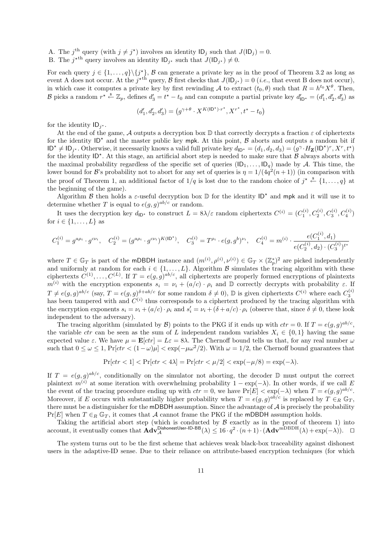A. The j<sup>th</sup> query (with  $j \neq j^*$ ) involves an identity  $ID_j$  such that  $J(ID_j) = 0$ .

B. The  $j^{\star th}$  query involves an identity  $ID_{j^{\star}}$  such that  $J(ID_{j^{\star}}) \neq 0$ .

For each query  $j \in \{1, ..., q\} \backslash \{j^*\}, \mathcal{B}$  can generate a private key as in the proof of Theorem 3.2 as long as event A does not occur. At the  $j^{\star th}$  query, B first checks that  $J(\mathsf{ID}_{j^{\star}}) = 0$  (*i.e.*, that event B does not occur), in which case it computes a private key by first rewinding A to extract  $(t_0, \theta)$  such that  $R = h^{t_0} X^{\theta}$ . Then, B picks a random  $r^* \stackrel{\$}{\leftarrow} \mathbb{Z}_p$ , defines  $d_3' = t^* - t_0$  and can compute a partial private key  $d'_{\mathsf{ID}^*} = (d'_1, d'_2, d'_3)$  as

$$
(d_1',d_2',d_3')=\left(g^{\gamma+\theta}\cdot X^{K(\mathsf{ID}^\star)\cdot r^\star},X^{r^\star},t^\ast-t_0\right)
$$

for the identity  $ID_{j^*}.$ 

At the end of the game, A outputs a decryption box  $\mathbb D$  that correctly decrypts a fraction  $\varepsilon$  of ciphertexts for the identity  $ID^*$  and the master public key mpk. At this point,  $\beta$  aborts and outputs a random bit if  $ID^* \neq ID_{j^*}$ . Otherwise, it necessarily knows a valid full private key  $d_{ID^*} = (d_1, d_2, d_3) = (g^{\gamma} \cdot H_{\mathbf{Z}}(ID^*)^r, X^r, t^*)$ for the identity  $ID^*$ . At this stage, an artificial abort step is needed to make sure that  $B$  always aborts with the maximal probability regardless of the specific set of queries  $(\mathsf{ID}_1, \ldots, \mathsf{ID}_q)$  made by A. This time, the lower bound for B's probability not to abort for any set of queries is  $\eta = 1/(4q^2(n+1))$  (in comparison with the proof of Theorem 1, an additional factor of  $1/q$  is lost due to the random choice of  $j^* \stackrel{\$}{\leftarrow} \{1,\ldots,q\}$  at the beginning of the game).

Algorithm  $\beta$  then holds a  $\varepsilon$ -useful decryption box  $\mathbb D$  for the identity  $\mathsf{ID}^*$  and mpk and it will use it to determine whether T is equal to  $e(g, g)^{ab/c}$  or random.

It uses the decryption key  $d_{\mathsf{ID}}$ <sup>\*</sup> to construct  $L = 8\lambda/\varepsilon$  random ciphertexts  $C^{(i)} = (C_1^{(i)}, C_2^{(i)}, C_3^{(i)}, C_4^{(i)})$ for  $i \in \{1, \ldots, L\}$  as

$$
C_1^{(i)} = g^{a\rho_i} \cdot g^{c\nu_i}, \quad C_2^{(i)} = (g^{a\rho_i} \cdot g^{c\nu_i})^{K(\mathsf{ID}^{\star})}, \quad C_3^{(i)} = T^{\rho_i} \cdot e(g, g^b)^{\nu_i}, \quad C_4^{(i)} = m^{(i)} \cdot \frac{e(C_1^{(i)}, d_1)}{e(C_2^{(i)}, d_2) \cdot (C_3^{(i)})^{t^{\star}}}
$$

where  $T \in \mathbb{G}_T$  is part of the mDBDH instance and  $(m^{(i)}, \rho^{(i)}, \nu^{(i)}) \in \mathbb{G}_T \times (\mathbb{Z}_p^*)^2$  are picked independently and uniformly at random for each  $i \in \{1, \ldots, L\}$ . Algorithm B simulates the tracing algorithm with these ciphertexts  $C^{(1)}, \ldots, C^{(L)}$ . If  $T = e(g, g)^{ab/c}$ , all ciphertexts are properly formed encryptions of plaintexts m<sup>(i)</sup> with the encryption exponents  $s_i = \nu_i + (a/c) \cdot \rho_i$  and D correctly decrypts with probability  $\varepsilon$ . If  $T \neq e(g,g)^{ab/c}$  (say,  $T = e(g,g)^{\delta+ab/c}$  for some random  $\delta \neq 0$ ),  $\mathbb{D}$  is given ciphertexts  $C^{(i)}$  where each  $C_3^{(i)}$ has been tampered with and  $C^{(i)}$  thus corresponds to a ciphertext produced by the tracing algorithm with the encryption exponents  $s_i = \nu_i + (a/c) \cdot \rho_i$  and  $s'_i = \nu_i + (\delta + a/c) \cdot \rho_i$  (observe that, since  $\delta \neq 0$ , these look independent to the adversary).

The tracing algorithm (simulated by  $\mathcal{B}$ ) points to the PKG if it ends up with  $ctr = 0$ . If  $T = e(g, g)^{ab/c}$ , the variable *ctr* can be seen as the sum of L independent random variables  $X_i \in \{0,1\}$  having the same expected value  $\varepsilon$ . We have  $\mu = \mathbf{E}[ctr] = L\varepsilon = 8\lambda$ . The Chernoff bound tells us that, for any real number  $\omega$ such that  $0 \leq \omega \leq 1$ ,  $Pr[ctr < (1-\omega)\mu] < exp(-\mu\omega^2/2)$ . With  $\omega = 1/2$ , the Chernoff bound guarantees that

$$
\Pr[ctr < 1] < \Pr[ctr < 4\lambda] = \Pr[ctr < \mu/2] < \exp(-\mu/8) = \exp(-\lambda).
$$

If  $T = e(g, g)^{ab/c}$ , conditionally on the simulator not aborting, the decoder D must output the correct plaintext  $m^{(i)}$  at some iteration with overwhelming probability  $1 - \exp(-\lambda)$ . In other words, if we call E the event of the tracing procedure ending up with  $ctr = 0$ , we have  $Pr[E] < exp(-\lambda)$  when  $T = e(g, g)^{ab/c}$ . Moreover, if E occurs with substantially higher probability when  $T = e(g, g)^{ab/c}$  is replaced by  $T \in_R \mathbb{G}_T$ , there must be a distinguisher for the mDBDH assumption. Since the advantage of A is precisely the probability  $Pr[E]$  when  $T \in_R \mathbb{G}_T$ , it comes that A cannot frame the PKG if the mDBDH assumption holds.

Taking the artificial abort step (which is conducted by  $\beta$  exactly as in the proof of theorem 1) into account, it eventually comes that  $\mathbf{Adv}_{\mathcal{A}}^{\mathsf{DishonestUser-ID-BB}}(\lambda) \leq 16 \cdot q^2 \cdot (n+1) \cdot (\mathbf{Adv}^{\text{mDBDH}}(\lambda) + \exp(-\lambda)).$ 

The system turns out to be the first scheme that achieves weak black-box traceability against dishonest users in the adaptive-ID sense. Due to their reliance on attribute-based encryption techniques (for which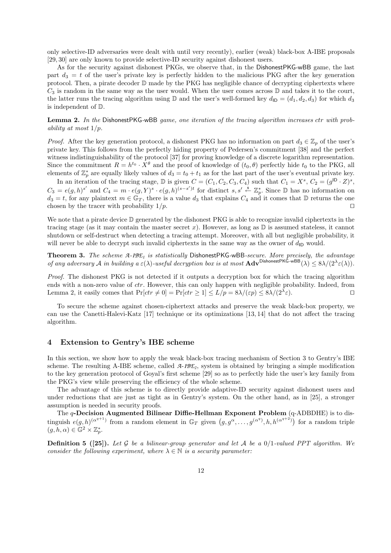only selective-ID adversaries were dealt with until very recently), earlier (weak) black-box A-IBE proposals [29, 30] are only known to provide selective-ID security against dishonest users.

As for the security against dishonest PKGs, we observe that, in the DishonestPKG-wBB game, the last part  $d_3 = t$  of the user's private key is perfectly hidden to the malicious PKG after the key generation protocol. Then, a pirate decoder  $\mathbb D$  made by the PKG has negligible chance of decrypting ciphertexts where  $C_3$  is random in the same way as the user would. When the user comes across  $\mathbb D$  and takes it to the court, the latter runs the tracing algorithm using  $\mathbb D$  and the user's well-formed key  $d_{\mathsf{ID}} = (d_1, d_2, d_3)$  for which  $d_3$ is independent of D.

Lemma 2. In the DishonestPKG-wBB game, one iteration of the tracing algorithm increases ctr with probability at most 1/p.

*Proof.* After the key generation protocol, a dishonest PKG has no information on part  $d_3 \in \mathbb{Z}_p$  of the user's private key. This follows from the perfectly hiding property of Pedersen's commitment [38] and the perfect witness indistinguishability of the protocol [37] for proving knowledge of a discrete logarithm representation. Since the commitment  $R = h^{t_0} \cdot X^{\theta}$  and the proof of knowledge of  $(t_0, \theta)$  perfectly hide  $t_0$  to the PKG, all elements of  $\mathbb{Z}_p^*$  are equally likely values of  $d_3 = t_0 + t_1$  as for the last part of the user's eventual private key.

In an iteration of the tracing stage,  $\mathbb D$  is given  $C = (C_1, C_2, C_3, C_4)$  such that  $C_1 = X^s$ ,  $C_2 = (g^{ID} \cdot Z)^s$ ,  $C_3 = e(g, h)^{s'}$  and  $C_4 = m \cdot e(g, Y)^s \cdot e(g, h)^{(s-s')t}$  for distinct  $s, s' \stackrel{s}{\leftarrow} \mathbb{Z}_p^*$ . Since  $\mathbb{D}$  has no information on  $d_3 = t$ , for any plaintext  $m \in \mathbb{G}_T$ , there is a value  $d_3$  that explains  $C_4$  and it comes that D returns the one chosen by the tracer with probability  $1/p$ .

We note that a pirate device  $\mathbb D$  generated by the dishonest PKG is able to recognize invalid ciphertexts in the tracing stage (as it may contain the master secret x). However, as long as  $\mathbb D$  is assumed stateless, it cannot shutdown or self-destruct when detecting a tracing attempt. Moreover, with all but negligible probability, it will never be able to decrypt such invalid ciphertexts in the same way as the owner of  $d_{\text{ID}}$  would.

Theorem 3. The scheme *A*-*IBE<sup>1</sup>* is statistically DishonestPKG-wBB-secure. More precisely, the advantage of any adversary A in building  $a \in (\lambda)$ -useful decryption box is at most  $\text{Adv}^{\text{DishonestPKG-wBB}}(\lambda) \leq 8\lambda/(2^{\lambda}\varepsilon(\lambda)).$ 

Proof. The dishonest PKG is not detected if it outputs a decryption box for which the tracing algorithm ends with a non-zero value of *ctr*. However, this can only happen with negligible probability. Indeed, from Lemma 2, it easily comes that  $Pr[ctr \neq 0] = Pr[ctr \geq 1] \leq L/p = 8\lambda/(\varepsilon p) \leq 8\lambda/(2^{\lambda}\varepsilon)$ .

To secure the scheme against chosen-ciphertext attacks and preserve the weak black-box property, we can use the Canetti-Halevi-Katz [17] technique or its optimizations [13, 14] that do not affect the tracing algorithm.

## 4 Extension to Gentry's IBE scheme

In this section, we show how to apply the weak black-box tracing mechanism of Section 3 to Gentry's IBE scheme. The resulting A-IBE scheme, called *A*-*IBE<sup>2</sup>* , system is obtained by bringing a simple modification to the key generation protocol of Goyal's first scheme [29] so as to perfectly hide the user's key family from the PKG's view while preserving the efficiency of the whole scheme.

The advantage of this scheme is to directly provide adaptive-ID security against dishonest users and under reductions that are just as tight as in Gentry's system. On the other hand, as in [25], a stronger assumption is needed in security proofs.

The q-Decision Augmented Bilinear Diffie-Hellman Exponent Problem (q-ADBDHE) is to distinguish  $e(g, h)^{(\alpha^{q+1})}$  from a random element in  $\mathbb{G}_T$  given  $(g, g^{\alpha}, \ldots, g^{(\alpha^q)}, h, h^{(\alpha^{q+2})})$  for a random triple  $(g, h, \alpha) \in \mathbb{G}^2 \times \mathbb{Z}_p^*$ .

**Definition 5** ([25]). Let G be a bilinear-group generator and let A be a 0/1-valued PPT algorithm. We consider the following experiment, where  $\lambda \in \mathbb{N}$  is a security parameter: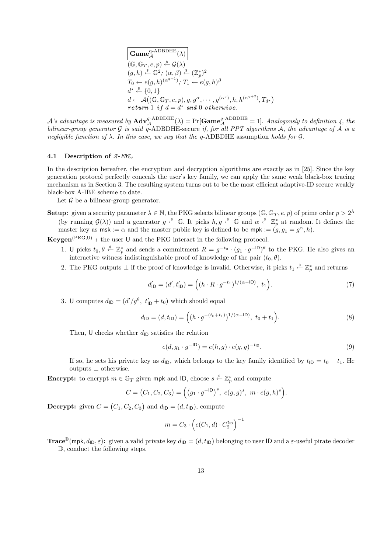$$
\begin{array}{ll}\n\hline\n\textbf{Game}_{\mathcal{A}}^{\text{q-ADBDHE}}(\lambda) \\
(\mathbb{G}, \mathbb{G}_T, e, p) \stackrel{\text{s}}{\leftarrow} \mathcal{G}(\lambda) \\
(g, h) \stackrel{\text{s}}{\leftarrow} \mathbb{G}^2; (\alpha, \beta) \stackrel{\text{s}}{\leftarrow} (\mathbb{Z}_p^*)^2 \\
T_0 \leftarrow e(g, h)^{(\alpha^{q+1})}; T_1 \leftarrow e(g, h)^\beta \\
d^\star \stackrel{\text{s}}{\leftarrow} \{0, 1\} \\
d \leftarrow \mathcal{A}((\mathbb{G}, \mathbb{G}_T, e, p), g, g^\alpha, \cdots, g^{(\alpha^q)}, h, h^{(\alpha^{q+2})}, T_{d^\star}) \\
\text{return 1 if } d = d^\star \text{ and 0 otherwise.}\n\end{array}
$$

 $\mathcal A$ 's advantage is measured by  $\mathbf{Adv}_{\mathcal A}^{q\text{-ADBDHE}}(\lambda) = \Pr[\mathbf{Game}^{q\text{-ADBDHE}}_{\mathcal A}=1]$ . Analogously to definition 4, the bilinear-group generator G is said  $\tilde{q}$ -ADBDHE-secure if, for all PPT algorithms  $\tilde{A}$ , the advantage of  $\tilde{A}$  is a negligible function of  $\lambda$ . In this case, we say that the q-ADBDHE assumption holds for  $\mathcal G$ .

#### 4.1 Description of *A*-*IBE<sup>2</sup>*

In the description hereafter, the encryption and decryption algorithms are exactly as in [25]. Since the key generation protocol perfectly conceals the user's key family, we can apply the same weak black-box tracing mechanism as in Section 3. The resulting system turns out to be the most efficient adaptive-ID secure weakly black-box A-IBE scheme to date.

Let  $G$  be a bilinear-group generator.

**Setup:** given a security parameter  $\lambda \in \mathbb{N}$ , the PKG selects bilinear groups  $(\mathbb{G}, \mathbb{G}_T, e, p)$  of prime order  $p > 2^{\lambda}$ (by running  $\mathcal{G}(\lambda)$ ) and a generator  $g \stackrel{s}{\leftarrow} \mathbb{G}$ . It picks  $h, g \stackrel{s}{\leftarrow} \mathbb{G}$  and  $\alpha \stackrel{s}{\leftarrow} \mathbb{Z}_p^*$  at random. It defines the master key as  $\mathsf{msk} := \alpha$  and the master public key is defined to be  $\mathsf{mpk} := (g, g_1 = g^\alpha, h)$ .

**Keygen**<sup>(PKG,U)</sup>: the user U and the PKG interact in the following protocol.

- 1. U picks  $t_0, \theta \stackrel{\$}{\leftarrow} \mathbb{Z}_p^*$  and sends a commitment  $R = g^{-t_0} \cdot (g_1 \cdot g^{-1} \cdot \theta)$  to the PKG. He also gives an interactive witness indistinguishable proof of knowledge of the pair  $(t_0, \theta)$ .
- 2. The PKG outputs  $\perp$  if the proof of knowledge is invalid. Otherwise, it picks  $t_1 \stackrel{s}{\leftarrow} \mathbb{Z}_p^*$  and returns

$$
d'_{\mathsf{ID}} = (d', t'_{\mathsf{ID}}) = ((h \cdot R \cdot g^{-t_1})^{1/(\alpha - \mathsf{ID})}, t_1).
$$
\n(7)

3. U computes  $d_{\mathsf{ID}} = (d'/g^{\theta}, t'_{\mathsf{ID}} + t_0)$  which should equal

$$
d_{\mathsf{ID}} = (d, t_{\mathsf{ID}}) = \left( (h \cdot g^{-(t_0 + t_1)})^{1/(\alpha - \mathsf{ID})}, t_0 + t_1 \right). \tag{8}
$$

Then, U checks whether  $d_{\text{ID}}$  satisfies the relation

$$
e(d, g_1 \cdot g^{-1D}) = e(h, g) \cdot e(g, g)^{-t_{1D}}.
$$
\n(9)

If so, he sets his private key as  $d_{\text{ID}}$ , which belongs to the key family identified by  $t_{\text{ID}} = t_0 + t_1$ . He outputs ⊥ otherwise.

**Encrypt:** to encrypt  $m \in \mathbb{G}_T$  given mpk and ID, choose  $s \stackrel{\$}{\leftarrow} \mathbb{Z}_p^*$  and compute

$$
C = (C_1, C_2, C_3) = ((g_1 \cdot g^{-1D})^s, e(g, g)^s, m \cdot e(g, h)^s).
$$

**Decrypt:** given  $C = (C_1, C_2, C_3)$  and  $d_{\mathsf{ID}} = (d, t_{\mathsf{ID}})$ , compute

$$
m = C_3 \cdot \left(e(C_1, d) \cdot C_2^{t_{\text{ID}}}\right)^{-1}
$$

**Trace**<sup>D</sup>(mpk,  $d_{\text{ID}}, \varepsilon$ ): given a valid private key  $d_{\text{ID}} = (d, t_{\text{ID}})$  belonging to user ID and a  $\varepsilon$ -useful pirate decoder D, conduct the following steps.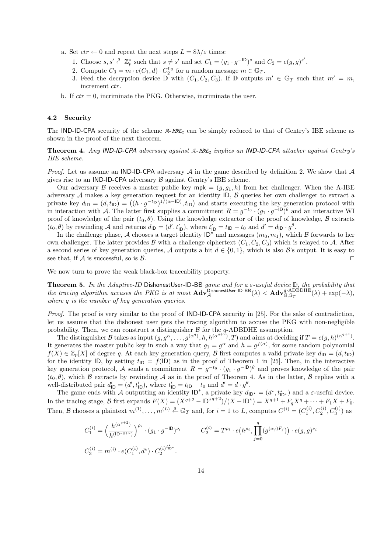- a. Set  $ctr \leftarrow 0$  and repeat the next steps  $L = 8\lambda/\varepsilon$  times:
	- 1. Choose  $s, s' \stackrel{\$}{\leftarrow} \mathbb{Z}_p^*$  such that  $s \neq s'$  and set  $C_1 = (g_1 \cdot g^{-1D})^s$  and  $C_2 = e(g, g)^{s'}$ .
	- 2. Compute  $C_3 = m \cdot e(C_1, d) \cdot C_2^{t_{\text{ID}}}$  for a random message  $m \in \mathbb{G}_T$ .
	- 3. Feed the decryption device  $\mathbb D$  with  $(C_1, C_2, C_3)$ . If  $\mathbb D$  outputs  $m' \in \mathbb G_T$  such that  $m' = m$ , increment *ctr*.
- b. If  $ctr = 0$ , incriminate the PKG. Otherwise, incriminate the user.

### 4.2 Security

The IND-ID-CPA security of the scheme *A*-*IBE<sup>2</sup>* can be simply reduced to that of Gentry's IBE scheme as shown in the proof of the next theorem.

Theorem 4. Any IND-ID-CPA adversary against *A*-*IBE<sup>2</sup>* implies an IND-ID-CPA attacker against Gentry's IBE scheme.

*Proof.* Let us assume an IND-ID-CPA adversary A in the game described by definition 2. We show that A gives rise to an IND-ID-CPA adversary  $\beta$  against Gentry's IBE scheme.

Our adversary B receives a master public key  $mpk = (g, q_1, h)$  from her challenger. When the A-IBE adversary  $A$  makes a key generation request for an identity  $|D, B|$  queries her own challenger to extract a private key  $d_{\text{ID}} = (d, t_{\text{ID}}) = ((h \cdot g^{-t_{\text{ID}}})^{1/(\alpha - \text{ID})}, t_{\text{ID}})$  and starts executing the key generation protocol with in interaction with A. The latter first supplies a commitment  $R = g^{-t_0} \cdot (g_1 \cdot g^{-1D})^{\theta}$  and an interactive WI proof of knowledge of the pair  $(t_0, \theta)$ . Using the knowledge extractor of the proof of knowledge,  $\beta$  extracts  $(t_0, \theta)$  by rewinding A and returns  $d_{\mathsf{ID}} = (d', t'_{\mathsf{ID}})$ , where  $t'_{\mathsf{ID}} = t_{\mathsf{ID}} - t_0$  and  $d' = d_{\mathsf{ID}} \cdot g^{\theta}$ .

In the challenge phase, A chooses a target identity  $\mathsf{ID}^*$  and messages  $(m_0, m_1)$ , which B forwards to her own challenger. The latter provides B with a challenge ciphertext  $(C_1, C_2, C_3)$  which is relayed to A. After a second series of key generation queries, A outputs a bit  $d \in \{0, 1\}$ , which is also B's output. It is easy to see that, if A is successful, so is  $\mathcal{B}$ .

We now turn to prove the weak black-box traceability property.

**Theorem 5.** In the Adaptive-ID DishonestUser-ID-BB game and for a  $\varepsilon$ -useful device  $\mathbb{D}$ , the probability that the tracing algorithm accuses the PKG is at most  $\mathbf{Adv}_{\mathcal{A}}^{\mathsf{DishonestUser-1D-BB}}(\lambda) < \mathbf{Adv}_{\mathbb{G},\mathbb{G}_T}^{\mathsf{q}\text{-}\mathrm{ADBDHE}}(\lambda) + \exp(-\lambda),$ where q is the number of key generation queries.

Proof. The proof is very similar to the proof of **IND-ID-CPA** security in [25]. For the sake of contradiction, let us assume that the dishonest user gets the tracing algorithm to accuse the PKG with non-negligible probability. Then, we can construct a distinguisher  $\beta$  for the q-ADBDHE assumption.

The distinguisher B takes as input  $(g, g^{\alpha}, \ldots, g^{(\alpha^q)}, h, h^{(\alpha^{q+2})}, T)$  and aims at deciding if  $T = e(g, h)^{(\alpha^{q+1})}$ . It generates the master public key in such a way that  $g_1 = g^{\alpha}$  and  $h = g^{f(\alpha)}$ , for some random polynomial  $f(X) \in \mathbb{Z}_p[X]$  of degree q. At each key generation query, B first computes a valid private key  $d_{\text{ID}} = (d, t_{\text{ID}})$ for the identity ID, by setting  $t_{ID} = f(ID)$  as in the proof of Theorem 1 in [25]. Then, in the interactive key generation protocol, A sends a commitment  $R = g^{-t_0} \cdot (g_1 \cdot g^{-1} \mathsf{D})^{\theta}$  and proves knowledge of the pair  $(t_0, \theta)$ , which B extracts by rewinding A as in the proof of Theorem 4. As in the latter, B replies with a well-distributed pair  $d'_{\text{ID}} = (d', t'_{\text{ID}})$ , where  $t'_{\text{ID}} = t_{\text{ID}} - t_0$  and  $d' = d \cdot g^{\theta}$ .

The game ends with A outputting an identity  $ID^*$ , a private key  $d_{ID^*} = (d^*, t^*_{ID^*})$  and a  $\varepsilon$ -useful device. In the tracing stage, B first expands  $F(X) = (X^{q+2} - 1D^{*q+2})/(X - 1D^{*}) = X^{q+1} + F_q X^q + \cdots + F_1 X + F_0$ . Then, B chooses a plaintext  $m^{(1)}, \ldots, m^{(L)} \stackrel{s}{\leftarrow} \mathbb{G}_T$  and, for  $i = 1$  to L, computes  $C^{(i)} = (C_1^{(i)}, C_2^{(i)}, C_3^{(i)})$  as

$$
C_1^{(i)} = \left(\frac{h^{(\alpha^{q+2})}}{h^{(\text{ID} \star q+2)}}\right)^{\rho_i} \cdot (g_1 \cdot g^{-\text{ID}})^{\nu_i} \qquad C_2^{(i)} = T^{\rho_i} \cdot e(h^{\rho_i}, \prod_{j=0}^q (g^{(\alpha_j)F_j})) \cdot e(g, g)^{\nu_i}
$$
  

$$
C_3^{(i)} = m^{(i)} \cdot e(C_1^{(i)}, d^{\star}) \cdot C_2^{(i)^{t_{\text{ID} \star}^{\star}}}.
$$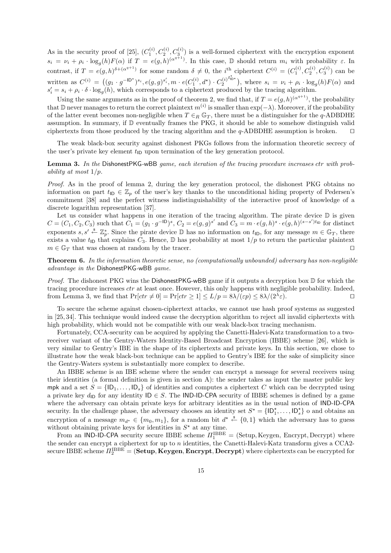As in the security proof of [25],  $(C_1^{(i)}, C_2^{(i)}, C_3^{(i)})$  is a well-formed ciphertext with the encryption exponent  $s_i = \nu_i + \rho_i \cdot \log_g(h) F(\alpha)$  if  $T = e(g, h)^{(\alpha^{q+1})}$ . In this case,  $\mathbb D$  should return  $m_i$  with probability  $\varepsilon$ . In contrast, if  $T = e(g, h)^{\delta + (\alpha^{q+1})}$  for some random  $\delta \neq 0$ , the *i*<sup>th</sup> ciphertext  $C^{(i)} = (C_1^{(i)}, C_2^{(i)}, C_3^{(i)})$  can be written as  $C^{(i)} = ((g_1 \cdot g^{-\mathsf{ID}^*})^{s_i}, e(g, g)^{s'_i}, m \cdot e(C_1^{(i)}, d^*) \cdot C_2^{(i)})$  $t_{\text{ID*}}^{\star}$ ), where  $s_i = \nu_i + \rho_i \cdot \log_g(h) F(\alpha)$  and  $s_i' = s_i + \rho_i \cdot \delta \cdot \log_g(h)$ , which corresponds to a ciphertext produced by the tracing algorithm.

Using the same arguments as in the proof of theorem 2, we find that, if  $T = e(g, h)^{(\alpha^{q+1})}$ , the probability that D never manages to return the correct plaintext  $m^{(i)}$  is smaller than exp(- $\lambda$ ). Moreover, if the probability of the latter event becomes non-negligible when  $T \in_R \mathbb{G}_T$ , there must be a distinguisher for the q-ADBDHE assumption. In summary, if  $\mathbb D$  eventually frames the PKG, it should be able to somehow distinguish valid ciphertexts from those produced by the tracing algorithm and the  $q$ -ADBDHE assumption is broken.  $\Box$ 

The weak black-box security against dishonest PKGs follows from the information theoretic secrecy of the user's private key element  $t_{\text{ID}}$  upon termination of the key generation protocol.

## Lemma 3. In the DishonestPKG-wBB game, each iteration of the tracing procedure increases ctr with probability at most  $1/p$ .

Proof. As in the proof of lemma 2, during the key generation protocol, the dishonest PKG obtains no information on part  $t_{\text{ID}} \in \mathbb{Z}_p$  of the user's key thanks to the unconditional hiding property of Pedersen's commitment [38] and the perfect witness indistinguishability of the interactive proof of knowledge of a discrete logarithm representation [37].

Let us consider what happens in one iteration of the tracing algorithm. The pirate device  $\mathbb D$  is given  $C = (C_1, C_2, C_3)$  such that  $C_1 = (g_1 \cdot g^{-1D})^s$ ,  $C_2 = e(g, g)^{s'}$  and  $C_3 = m \cdot e(g, h)^s \cdot e(g, h)^{(s - s')t_D}$  for distinct exponents  $s, s' \stackrel{\ast}{\leftarrow} \mathbb{Z}_p^*$ . Since the pirate device  $\mathbb D$  has no information on  $t_{\mathsf{ID}}$ , for any message  $m \in \mathbb{G}_T$ , there exists a value  $t_{\text{ID}}$  that explains  $C_3$ . Hence,  $\mathbb D$  has probability at most  $1/p$  to return the particular plaintext  $m \in \mathbb{G}_T$  that was chosen at random by the tracer.

Theorem 6. In the information theoretic sense, no (computationally unbounded) adversary has non-negligible advantage in the DishonestPKG-wBB game.

*Proof.* The dishonest PKG wins the Dishonest PKG-wBB game if it outputs a decryption box  $\mathbb D$  for which the tracing procedure increases *ctr* at least once. However, this only happens with negligible probability. Indeed, from Lemma 3, we find that  $Pr[ctr \neq 0] = Pr[ctr > 1] \leq L/p = 8\lambda/(\epsilon p) \leq 8\lambda/(2^{\lambda}\epsilon)$ .  $\varepsilon$ ).

To secure the scheme against chosen-ciphertext attacks, we cannot use hash proof systems as suggested in [25, 34]. This technique would indeed cause the decryption algorithm to reject all invalid ciphertexts with high probability, which would not be compatible with our weak black-box tracing mechanism.

Fortunately, CCA-security can be acquired by applying the Canetti-Halevi-Katz transformation to a tworeceiver variant of the Gentry-Waters Identity-Based Broadcast Encryption (IBBE) scheme [26], which is very similar to Gentry's IBE in the shape of its ciphertexts and private keys. In this section, we chose to illustrate how the weak black-box technique can be applied to Gentry's IBE for the sake of simplicity since the Gentry-Waters system is substantially more complex to describe.

An IBBE scheme is an IBE scheme where the sender can encrypt a message for several receivers using their identities (a formal definition is given in section A): the sender takes as input the master public key mpk and a set  $S = \{ \mathsf{ID}_1, \ldots, \mathsf{ID}_s \}$  of identities and computes a ciphertext C which can be decrypted using a private key  $d_{\text{ID}}$  for any identity  $\text{ID} \in S$ . The IND-ID-CPA security of IBBE schemes is defined by a game where the adversary can obtain private keys for arbitrary identities as in the usual notion of IND-ID-CPA security. In the challenge phase, the adversary chooses an identity set  $S^* = \{ \mathsf{ID}_1^*, \ldots, \mathsf{ID}_s^* \}$  o and obtains an encryption of a message  $m_{d^*} \in \{m_0, m_1\}$ , for a random bit  $d^* \stackrel{\$}{\leftarrow} \{0, 1\}$  which the adversary has to guess without obtaining private keys for identities in  $S^*$  at any time.

From an IND-ID-CPA security secure IBBE scheme  $\Pi_1^{\text{IBBE}} =$  (Setup, Keygen, Encrypt, Decrypt) where the sender can encrypt a ciphertext for up to  $n$  identities, the Canetti-Halevi-Katz transform gives a CCA2secure IBBE scheme  $\Pi_2^{\text{IBBE}}=({\bf Setup},{\bf Keygen},{\bf Encryption}, {\bf Decrypt})$  where ciphertexts can be encrypted for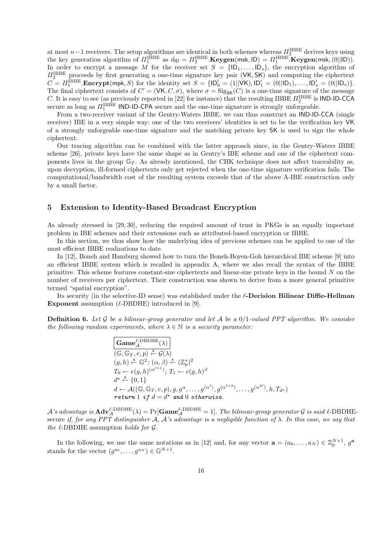at most  $n-1$  receivers. The setup algorithms are identical in both schemes whereas  $\Pi_2^{\text{IBBE}}$  derives keys using the key generation algorithm of  $\Pi_1^{\text{IBBE}}$  as  $d_{\text{ID}} = \Pi_2^{\text{IBBE}}$ . **Keygen**(msk,  $|\text{D}) = \Pi_1^{\text{IBBE}}$ . **Keygen**(msk,  $(0||\text{ID})$ ). In order to encrypt a message M for the receiver set  $S = \{ |D_1, \ldots, D_s \}$ , the encryption algorithm of  $\Pi_2^{\text{IBBE}}$  proceeds by first generating a one-time signature key pair (VK, SK) and computing the ciphertext  $C = \Pi_1^{\text{IBBE}}$ . Encrypt(mpk, S) for the identity set  $S = \{ |D'_0 = (1||\mathsf{V}\mathsf{K}), |D'_1 = (0||D_1), \dots, |D'_s = (0||D_s) \}.$ The final ciphertext consists of  $C' = (\mathsf{VK}, C, \sigma)$ , where  $\sigma = \text{Sig}_{\mathsf{SK}}(C)$  is a one-time signature of the message C. It is easy to see (as previously reported in [22] for instance) that the resulting IBBE  $\Pi_2^{\text{IBBE}}$  is IND-ID-CCA secure as long as  $\Pi_1^{\text{IBBE}}$  IND-ID-CPA secure and the one-time signature is strongly unforgeable.

From a two-receiver variant of the Gentry-Waters IBBE, we can thus construct an IND-ID-CCA (single receiver) IBE in a very simple way: one of the two receivers' identities is set to be the verification key VK of a strongly unforgeable one-time signature and the matching private key SK is used to sign the whole ciphertext.

Our tracing algorithm can be combined with the latter approach since, in the Gentry-Waters IBBE scheme [26], private keys have the same shape as in Gentry's IBE scheme and one of the ciphertext components lives in the group  $\mathbb{G}_T$ . As already mentioned, the CHK technique does not affect traceability as, upon decryption, ill-formed ciphertexts only get rejected when the one-time signature verification fails. The computational/bandwidth cost of the resulting system exceeds that of the above A-IBE construction only by a small factor.

## 5 Extension to Identity-Based Broadcast Encryption

As already stressed in [29, 30], reducing the required amount of trust in PKGs is an equally important problem in IBE schemes and their extensions such as attributed-based encryption or IBBE.

In this section, we thus show how the underlying idea of previous schemes can be applied to one of the most efficient IBBE realizations to date.

In [12], Boneh and Hamburg showed how to turn the Boneh-Boyen-Goh hierarchical IBE scheme [9] into an efficient IBBE system which is recalled in appendix A, where we also recall the syntax of the IBBE primitive. This scheme features constant-size ciphertexts and linear-size private keys in the bound N on the number of receivers per ciphertext. Their construction was shown to derive from a more general primitive termed "spatial encryption".

Its security (in the selective-ID sense) was established under the  $\ell$ -Decision Bilinear Diffie-Hellman **Exponent** assumption  $(\ell$ -DBDHE) introduced in [9].

**Definition 6.** Let G be a bilinear-group generator and let A be a  $0/1$ -valued PPT algorithm. We consider the following random experiments, where  $\lambda \in \mathbb{N}$  is a security parameter:

$$
Game_{\mathcal{A}}^{\ell-\text{DBDHE}}(\lambda)
$$
  
\n
$$
(\mathbb{G}, \mathbb{G}_T, e, p) \stackrel{\text{s}}{\leftarrow} \mathcal{G}(\lambda)
$$
  
\n
$$
(g, h) \stackrel{\text{s}}{\leftarrow} \mathbb{G}^2; (\alpha, \beta) \stackrel{\text{s}}{\leftarrow} (\mathbb{Z}_p^*)^2
$$
  
\n
$$
T_0 \leftarrow e(g, h)^{(\alpha^{\ell+1})}; T_1 \leftarrow e(g, h)^\beta
$$
  
\n
$$
d^* \stackrel{\text{s}}{\leftarrow} \{0, 1\}
$$
  
\n
$$
d \leftarrow \mathcal{A}((\mathbb{G}, \mathbb{G}_T, e, p), g, g^\alpha, \dots, g^{(\alpha^\ell)}, g^{(\alpha^{\ell+2})}, \dots, g^{(\alpha^{2\ell})}, h, T_{d^*})
$$
  
\nreturn 1 if  $d = d^*$  and 0 otherwise.

 $\mathcal A$ 's advantage is  $\mathbf{Adv}_{\mathcal A}^{\ell\text{-DBDHE}}(\lambda) = \Pr[\mathbf{Game}^{\ell\text{-DBDHE}}_{\mathcal A}=1].$  The bilinear-group generator  $\mathcal G$  is said  $\ell\text{-DBDHE}$ secure if, for any PPT distinguisher A, A's advantage is a negligible function of  $\lambda$ . In this case, we say that the  $\ell$ -DBDHE assumption holds for  $\mathcal G$ .

In the following, we use the same notations as in [12] and, for any vector  $\mathbf{a} = (a_0, \ldots, a_N) \in \mathbb{Z}_p^{N+1}$ ,  $g^{\mathbf{a}}$ stands for the vector  $(g^{a_0}, \ldots, g^{a_N}) \in \mathbb{G}^{N+1}$ .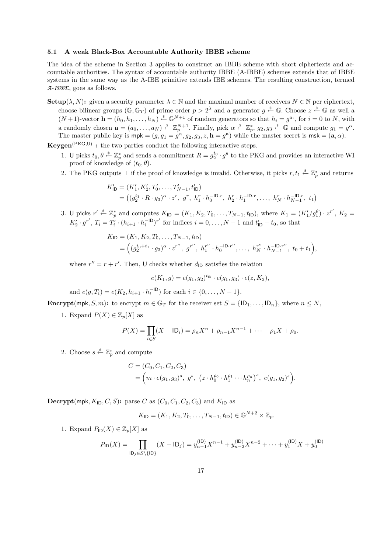#### 5.1 A weak Black-Box Accountable Authority IBBE scheme

The idea of the scheme in Section 3 applies to construct an IBBE scheme with short ciphertexts and accountable authorities. The syntax of accountable authority IBBE (A-IBBE) schemes extends that of IBBE systems in the same way as the A-IBE primitive extends IBE schemes. The resulting construction, termed *A*-*IBBE*, goes as follows.

**Setup**( $\lambda, N$ ): given a security parameter  $\lambda \in \mathbb{N}$  and the maximal number of receivers  $N \in \mathbb{N}$  per ciphertext, choose bilinear groups  $(\mathbb{G}, \mathbb{G}_T)$  of prime order  $p > 2^{\lambda}$  and a generator  $g \stackrel{\$}{\leftarrow} \mathbb{G}$ . Choose  $z \stackrel{\$}{\leftarrow} \mathbb{G}$  as well a  $(N+1)$ -vector  $\mathbf{h} = (h_0, h_1, \ldots, h_N) \stackrel{\ast}{\leftarrow} \mathbb{G}^{N+1}$  of random generators so that  $h_i = g^{a_i}$ , for  $i = 0$  to N, with a randomly chosen  $\mathbf{a} = (a_0, \ldots, a_N) \stackrel{\hspace{0.1em}\mathsf{\scriptscriptstyle\$}}{\leftarrow} \mathbb{Z}_p^{N+1}$ . Finally, pick  $\alpha \stackrel{\hspace{0.1em}\mathsf{\scriptscriptstyle\$}}{\leftarrow} \mathbb{Z}_p^*$ ,  $g_2, g_3 \stackrel{\hspace{0.1em}\mathsf{\scriptscriptstyle\$}}{\leftarrow} \mathbb{G}$  and compute  $g_1 = g^{\alpha}$ . The master public key is  $mpk = (g, g_1 = \dot{g}^\alpha, g_2, g_3, z, h = g^a)$  while the master secret is  $msk = (a, \alpha)$ .

**Keygen**<sup>(PKG,U)</sup>: the two parties conduct the following interactive steps.

- 1. U picks  $t_0, \theta \stackrel{s}{\leftarrow} \mathbb{Z}_p^*$  and sends a commitment  $R = g_2^{t_0} \cdot g^{\theta}$  to the PKG and provides an interactive WI proof of knowledge of  $(t_0, \theta)$ .
- 2. The PKG outputs  $\perp$  if the proof of knowledge is invalid. Otherwise, it picks  $r, t_1 \stackrel{s}{\leftarrow} \mathbb{Z}_p^*$  and returns

$$
K'_{\mathsf{ID}} = (K'_1, K'_2, T'_0, \dots, T'_{N-1}, t'_{\mathsf{ID}})
$$
  
= 
$$
((g_2^{t_1} \cdot R \cdot g_3)^{\alpha} \cdot z^r, g^r, h_1^r \cdot h_0^{-\mathsf{ID} \cdot r}, h_2^r \cdot h_1^{-\mathsf{ID} \cdot r}, \dots, h_N^r \cdot h_{N-1}^{-\mathsf{ID} \cdot r}, t_1)
$$

3. U picks  $r' \stackrel{\$}{\leftarrow} \mathbb{Z}_p^*$  and computes  $K_{\mathsf{ID}} = (K_1, K_2, T_0, \ldots, T_{N-1}, t_{\mathsf{ID}})$ , where  $K_1 = (K_1'/g_1^{\theta}) \cdot z^{r'}$ ,  $K_2 =$  $K_2' \cdot g^{r'}$ ,  $T_i = T_i' \cdot (h_{i+1} \cdot h_i^{-1} \cdot D)^{r'}$  for indices  $i = 0, ..., N-1$  and  $t'_{1D} + t_0$ , so that

$$
K_{\mathsf{ID}} = (K_1, K_2, T_0, \dots, T_{N-1}, t_{\mathsf{ID}})
$$
  
= 
$$
\left( (g_2^{t_0+t_1} \cdot g_3)^{\alpha} \cdot z^{r''}, g^{r''}, h_1^{r''} \cdot h_0^{-\mathsf{ID}\cdot r''}, \dots, h_N^{r''} \cdot h_{N-1}^{-\mathsf{ID}\cdot r''}, t_0+t_1 \right),
$$

where  $r'' = r + r'$ . Then, U checks whether  $d_{\text{ID}}$  satisfies the relation

$$
e(K_1, g) = e(g_1, g_2)^{t_{\text{ID}}} \cdot e(g_1, g_3) \cdot e(z, K_2),
$$

and  $e(g,T_i) = e(K_2, h_{i+1} \cdot h_i^{-\mathsf{ID}})$  for each  $i \in \{0,\ldots,N-1\}.$ 

**Encrypt**(mpk, S, m): to encrypt  $m \in \mathbb{G}_T$  for the receiver set  $S = \{ \mathsf{ID}_1, \ldots, \mathsf{ID}_n \}$ , where  $n \leq N$ ,

1. Expand  $P(X) \in \mathbb{Z}_p[X]$  as

$$
P(X) = \prod_{i \in S} (X - \mathsf{ID}_i) = \rho_n X^n + \rho_{n-1} X^{n-1} + \dots + \rho_1 X + \rho_0.
$$

2. Choose  $s \stackrel{\$}{\leftarrow} \mathbb{Z}_p^*$  and compute

$$
C = (C_0, C_1, C_2, C_3)
$$
  
=  $(m \cdot e(g_1, g_3)^s, g^s, (z \cdot h_0^{\rho_0} \cdot h_1^{\rho_1} \cdots h_n^{\rho_n})^s, e(g_1, g_2)^s).$ 

**Decrypt**(mpk,  $K_{\text{ID}}, C, S$ ): parse C as  $(C_0, C_1, C_2, C_3)$  and  $K_{\text{ID}}$  as

$$
K_{\text{ID}} = (K_1, K_2, T_0, \dots, T_{N-1}, t_{\text{ID}}) \in \mathbb{G}^{N+2} \times \mathbb{Z}_p.
$$

1. Expand  $P_{\text{ID}}(X) \in \mathbb{Z}_p[X]$  as

$$
P_{\mathsf{ID}}(X) = \prod_{\mathsf{ID}_j \in S \setminus \{\mathsf{ID}\}} (X - \mathsf{ID}_j) = y_{n-1}^{(\mathsf{ID})} X^{n-1} + y_{n-2}^{(\mathsf{ID})} X^{n-2} + \dots + y_1^{(\mathsf{ID})} X + y_0^{(\mathsf{ID})}
$$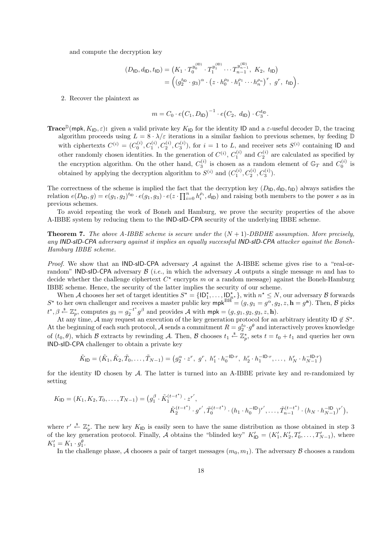and compute the decryption key

$$
(D_{\mathsf{ID}}, d_{\mathsf{ID}}, t_{\mathsf{ID}}) = (K_1 \cdot T_0^{y_0^{(\mathsf{ID})}} \cdot T_1^{y_1^{(\mathsf{ID})}} \cdots T_{n-1}^{y_{n-1}^{(\mathsf{ID})}}, K_2, t_{\mathsf{ID}})
$$
  
= 
$$
\left( (g_2^{t_{\mathsf{ID}}} \cdot g_3)^{\alpha} \cdot (z \cdot h_0^{p_0} \cdot h_1^{p_1} \cdots h_n^{p_n})^r, g^r, t_{\mathsf{ID}} \right).
$$

2. Recover the plaintext as

$$
m = C_0 \cdot e \big( C_1, D_{\mathsf{ID}} \big)^{-1} \cdot e \big( C_2, d_{\mathsf{ID}} \big) \cdot C_3^{\mathsf{tip}}.
$$

**Trace**<sup>D</sup>(mpk,  $K_{\text{ID}}, \varepsilon$ ): given a valid private key  $K_{\text{ID}}$  for the identity ID and a  $\varepsilon$ -useful decoder D, the tracing algorithm proceeds using  $L = 8 \cdot \lambda/\varepsilon$  iterations in a similar fashion to previous schemes, by feeding  $D$ with ciphertexts  $C^{(i)} = (C_0^{(i)}, C_1^{(i)}, C_2^{(i)}, C_3^{(i)})$ , for  $i = 1$  to L, and receiver sets  $S^{(i)}$  containing ID and other randomly chosen identities. In the generation of  $C^{(i)}$ ,  $C_1^{(i)}$  and  $C_2^{(i)}$  are calculated as specified by the encryption algorithm. On the other hand,  $C_3^{(i)}$  is chosen as a random element of  $\mathbb{G}_T$  and  $C_0^{(i)}$  is obtained by applying the decryption algorithm to  $S^{(i)}$  and  $(C_1^{(i)}, C_2^{(i)}, C_3^{(i)})$ .

The correctness of the scheme is implied the fact that the decryption key  $(D_{\mathsf{ID}}, d_{\mathsf{ID}}, t_{\mathsf{ID}})$  always satisfies the relation  $e(D_{\mathsf{ID}}, g) = e(g_1, g_2)^{t_{\mathsf{ID}}} \cdot e(g_1, g_3) \cdot e(z \cdot \prod_{i=0}^n h_i^{\rho_i}, d_{\mathsf{ID}})$  and raising both members to the power s as in previous schemes.

To avoid repeating the work of Boneh and Hamburg, we prove the security properties of the above A-IBBE system by reducing them to the IND-sID-CPA security of the underlying IBBE scheme.

**Theorem 7.** The above A-IBBE scheme is secure under the  $(N + 1)$ -DBDHE assumption. More precisely, any IND-sID-CPA adversary against it implies an equally successful IND-sID-CPA attacker against the Boneh-Hamburg IBBE scheme.

*Proof.* We show that an IND-sID-CPA adversary A against the A-IBBE scheme gives rise to a "real-orrandom" **IND-sID-CPA** adversary  $\beta$  (*i.e.*, in which the adversary  $\beta$  outputs a single message m and has to decide whether the challenge ciphertext  $C^*$  encrypts m or a random message) against the Boneh-Hamburg IBBE scheme. Hence, the security of the latter implies the security of our scheme.

When A chooses her set of target identities  $S^* = \{\mathsf{ID}_1^*, \ldots, \mathsf{ID}_{n^*}^*\},\$  with  $n^* \leq N$ , our adversary B forwards  $S^*$  to her own challenger and receives a master public key mpk<sup>BH</sup> =  $(g, g_1 = g^\alpha, g_2, z, \mathbf{h} = g^\mathbf{a})$ . Then, B picks  $t^*, \beta \stackrel{\$}{\leftarrow} \mathbb{Z}_p^*$ , computes  $g_3 = g_2^{-t^*}$  $2^{-t^*}g^{\beta}$  and provides A with  $mpk = (g, g_1, g_2, g_3, z, h)$ .

At any time, A may request an execution of the key generation protocol for an arbitrary identity  $\mathsf{ID} \notin S^*$ . At the beginning of each such protocol, A sends a commitment  $R = g_2^{t_0} \cdot g^{\theta}$  and interactively proves knowledge of  $(t_0, \theta)$ , which B extracts by rewinding A. Then, B chooses  $t_1 \stackrel{s}{\leftarrow} \mathbb{Z}_p^*$ , sets  $t = t_0 + t_1$  and queries her own IND-sID-CPA challenger to obtain a private key

$$
\tilde{K}_{\mathsf{ID}} = (\tilde{K}_1, \tilde{K}_2, \tilde{T}_0, \dots, \tilde{T}_{N-1}) = (g_2^{\alpha} \cdot z^r, g^r, h_1^r \cdot h_0^{-|\mathsf{D} \cdot r}, h_2^r \cdot h_1^{-|\mathsf{D} \cdot r}, \dots, h_N^r \cdot h_{N-1}^{-|\mathsf{D} \cdot r})
$$

for the identity ID chosen by A. The latter is turned into an A-IBBE private key and re-randomized by setting

$$
K_{\mathsf{ID}} = (K_1, K_2, T_0, \dots, T_{N-1}) = (g_1^{\beta} \cdot \tilde{K}_1^{(t-t^*)} \cdot z^{r'},
$$
  

$$
\tilde{K}_2^{(t-t^*)} \cdot g^{r'}, \tilde{T}_0^{(t-t^*)} \cdot (h_1 \cdot h_0^{-\mathsf{ID}})^{r'}, \dots, \tilde{T}_{n-1}^{(t-t^*)} \cdot (h_N \cdot h_{N-1}^{-\mathsf{ID}})^{r'}),
$$

where  $r' \stackrel{\$}{\leftarrow} \mathbb{Z}_p^*$ . The new key  $K_{\text{ID}}$  is easily seen to have the same distribution as those obtained in step 3 of the key generation protocol. Finally, A obtains the "blinded key"  $K'_{\mathsf{ID}} = (K'_1, K'_2, T'_0, \ldots, T'_{N-1}),$  where  $K'_1 = K_1 \cdot g_1^{\theta}$ .

In the challenge phase, A chooses a pair of target messages  $(m_0, m_1)$ . The adversary B chooses a random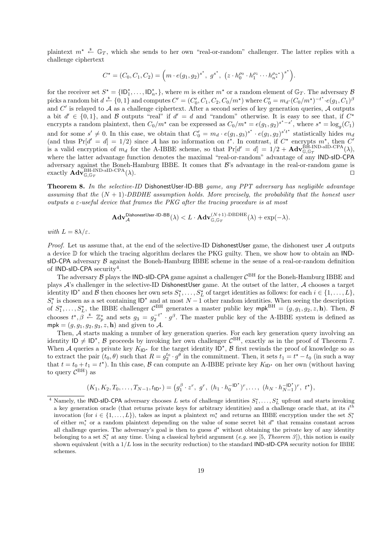plaintext  $m^* \stackrel{\text{d}}{\leftarrow} \mathbb{G}_T$ , which she sends to her own "real-or-random" challenger. The latter replies with a challenge ciphertext

$$
C^{\star} = (C_0, C_1, C_2) = \left( m \cdot e(g_1, g_2)^{s^{\star}}, g^{s^{\star}}, (z \cdot h_0^{\rho_0} \cdot h_1^{\rho_1} \cdots h_{n^{\star}}^{\rho_n \star})^{s^{\star}} \right).
$$

for the receiver set  $S^* = \{\mathsf{ID}_1^*, \ldots, \mathsf{ID}_{n^*}^*\}$ , where m is either  $m^*$  or a random element of  $\mathbb{G}_T$ . The adversary  $\mathcal{B}$ picks a random bit  $d \stackrel{\$}{\leftarrow} \{0,1\}$  and computes  $C' = (C'_0, C_1, C_2, C_0/m^*)$  where  $C'_0 = m_d \cdot (C_0/m^*)^{-t^*} \cdot e(g_1, C_1)^{\beta}$ and  $C'$  is relayed to  $A$  as a challenge ciphertext. After a second series of key generation queries,  $A$  outputs a bit  $d' \in \{0,1\}$ , and B outputs "real" if  $d' = d$  and "random" otherwise. It is easy to see that, if  $C^*$ encrypts a random plaintext, then  $C_0/m^*$  can be expressed as  $C_0/m^* = e(g_1, g_2)^{s^* - s'}$ , where  $s^* = \log_g(C_1)$ and for some  $s' \neq 0$ . In this case, we obtain that  $C'_0 = m_d \cdot e(g_1, g_3)^{s'} \cdot e(g_1, g_2)^{s't'}$  statistically hides  $m_d$ (and thus  $Pr[d' = d] = 1/2$ ) since A has no information on  $t^*$ . In contrast, if  $C^*$  encrypts  $m^*$ , then  $C'$ is a valid encryption of  $m_d$  for the A-IBBE scheme, so that  $Pr[d' = d] = 1/2 + \mathbf{Adv}_{\mathbb{G},\mathbb{G}_T}^{\text{BH-IND-SD-CPA}}(\lambda)$ , where the latter advantage function denotes the maximal "real-or-random" advantage of any IND-sID-CPA adversary against the Boneh-Hamburg IBBE. It comes that  $\mathcal{B}$ 's advantage in the real-or-random game is exactly  $\mathbf{Adv}_{\mathbb{G},\mathbb{G}_T}^{\rm BH-IND-sID-CPA}(\lambda)$ .

Theorem 8. In the selective-ID DishonestUser-ID-BB game, any PPT adversary has negligible advantage assuming that the  $(N + 1)$ -DBDHE assumption holds. More precisely, the probability that the honest user outputs a  $\varepsilon$ -useful device that frames the PKG after the tracing procedure is at most

$$
\mathbf{Adv}_{\mathcal{A}}^{\mathsf{DishonestUser-ID-BB}}(\lambda)
$$

with  $L = 8\lambda/\varepsilon$ .

*Proof.* Let us assume that, at the end of the selective-ID DishonestUser game, the dishonest user  $A$  outputs a device D for which the tracing algorithm declares the PKG guilty. Then, we show how to obtain an INDsID-CPA adversary  $\beta$  against the Boneh-Hamburg IBBE scheme in the sense of a real-or-random definition of IND-sID-CPA security<sup>4</sup>.

The adversary  $\beta$  plays the IND-sID-CPA game against a challenger  $C^{BH}$  for the Boneh-Hamburg IBBE and plays A's challenger in the selective-ID DishonestUser game. At the outset of the latter, A chooses a target identity  $\mathsf{ID}^*$  and  $\mathcal B$  then chooses her own sets  $S_1^*, \ldots, S_L^*$  of target identities as follows: for each  $i \in \{1, \ldots, L\}$ ,  $S_i^*$  is chosen as a set containing  $ID^*$  and at most  $N-1$  other random identities. When seeing the description of  $S_1^*,\ldots,S_L^*$ , the IBBE challenger  $\mathcal{C}^{\rm BH}$  generates a master public key  $mpk^{\rm BH} = (g,g_1,g_2,z,\mathbf{h})$ . Then,  $\mathcal{B}$ chooses  $t^*, \beta \stackrel{\ast}{\leftarrow} \mathbb{Z}_p^*$  and sets  $g_3 = g_2^{-t^*}$  $2^{-t^*}$   $\cdot$  g<sup>β</sup>. The master public key of the A-IBBE system is defined as  $mpk = (g, g<sub>1</sub>, g<sub>2</sub>, g<sub>3</sub>, z, h)$  and given to A.

Then, A starts making a number of key generation queries. For each key generation query involving an identity  $ID \neq ID^*$ , B proceeds by invoking her own challenger  $C^{BH}$ , exactly as in the proof of Theorem 7. When A queries a private key  $K_{\mathsf{ID}^*}$  for the target identity  $\mathsf{ID}^*$ , B first rewinds the proof of knowledge so as to extract the pair  $(t_0, \theta)$  such that  $R = g_2^{t_0} \cdot g_\theta$  in the commitment. Then, it sets  $t_1 = t^\star - t_0$  (in such a way that  $t = t_0 + t_1 = t^*$ ). In this case,  $\beta$  can compute an A-IBBE private key  $K_{\text{ID}}^*$  on her own (without having to query  $C^{BH}$ ) as

$$
(K_1, K_2, T_0, \ldots, T_{N-1}, t_{\mathsf{ID}^{\star}}) = \left(g_1^{\beta} \cdot z^r, g^r, (h_1 \cdot h_0^{-\mathsf{ID}^{\star}})^r, \ldots, (h_N \cdot h_{N-1}^{-\mathsf{ID}^{\star}})^r, t^{\star}\right),
$$

<sup>&</sup>lt;sup>4</sup> Namely, the IND-sID-CPA adversary chooses L sets of challenge identities  $S_1^*,\ldots,S_L^*$  upfront and starts invoking a key generation oracle (that returns private keys for arbitrary identities) and a challenge oracle that, at its  $i<sup>th</sup>$ invocation (for  $i \in \{1, ..., L\}$ ), takes as input a plaintext  $m_i^*$  and returns an IBBE encryption under the set  $S_i^*$ of either  $m_i^*$  or a random plaintext depending on the value of some secret bit  $d^*$  that remains constant across all challenge queries. The adversary's goal is then to guess  $d^*$  without obtaining the private key of any identity belonging to a set  $S_i^*$  at any time. Using a classical hybrid argument (e.g. see [5, Theorem 3]), this notion is easily shown equivalent (with a  $1/L$  loss in the security reduction) to the standard **IND-sID-CPA** security notion for IBBE schemes.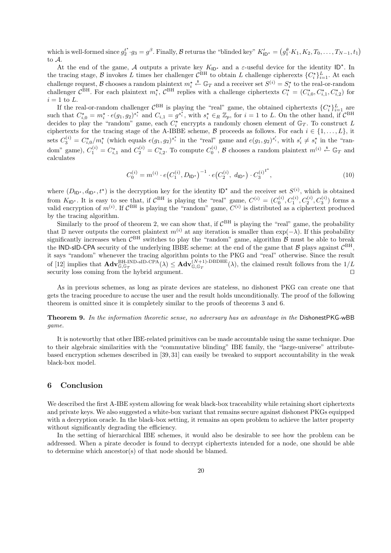which is well-formed since  $g_2^{t^*} \cdot g_3 = g^{\beta}$ . Finally,  $\beta$  returns the "blinded key"  $K'_{\mathsf{ID}^*} = (g_1^{\theta} \cdot K_1, K_2, T_0, \ldots, T_{N-1}, t_1)$ to  $\Lambda$ 

At the end of the game, A outputs a private key  $K_{\mathsf{ID}}^*$  and a  $\varepsilon$ -useful device for the identity  $\mathsf{ID}^*$ . In the tracing stage,  $\beta$  invokes L times her challenger  $C^{BH}$  to obtain L challenge cipherexts  $\{C_i^{\star}\}_{i=1}^L$ . At each challenge request, B chooses a random plaintext  $m_i^* \stackrel{\$}{\leftarrow} \mathbb{G}_T$  and a receiver set  $S^{(i)} = S_i^*$  to the real-or-random challenger  $C^{BH}$ . For each plaintext  $m_i^{\star}$ ,  $C^{BH}$  replies with a challenge ciphertexts  $C_i^{\star} = (C_{i,0}^{\star}, C_{i,1}^{\star}, C_{i,2}^{\star})$  for  $i = 1$  to L.

If the real-or-random challenger  $\mathcal{C}^{BH}$  is playing the "real" game, the obtained ciphertexts  $\{C_i^*\}_{i=1}^L$  are such that  $C_{i,0}^* = m_i^* \cdot e(g_1, g_2)^{s_i^*}$  and  $C_{i,1} = g^{s_i^*}$ , with  $s_i^* \in_R \mathbb{Z}_p$ , for  $i = 1$  to L. On the other hand, if  $C^{BH}$ decides to play the "random" game, each  $C_i^*$  encrypts a randomly chosen element of  $\mathbb{G}_T$ . To construct L ciphertexts for the tracing stage of the A-IBBE scheme,  $\beta$  proceeds as follows. For each  $i \in \{1, \ldots, L\}$ , it sets  $C_3^{(i)} = C_{i,0}^{\star}/m_i^{\star}$  (which equals  $e(g_1, g_2)^{s_i^{\star}}$  in the "real" game and  $e(g_1, g_2)^{s_i}$ , with  $s_i^{\prime} \neq s_i^{\star}$  in the "random" game),  $C_1^{(i)} = C_{i,1}^{\star}$  and  $C_2^{(i)} = C_{i,2}^{\star}$ . To compute  $C_0^{(i)}$ ,  $\beta$  chooses a random plaintext  $m^{(i)} \stackrel{\hspace{0.1em}\mathcal{S}}{\leftarrow} \mathbb{G}_T$  and calculates

$$
C_0^{(i)} = m^{(i)} \cdot e \left( C_1^{(i)}, D_{\mathsf{ID}^*} \right)^{-1} \cdot e \left( C_2^{(i)}, d_{\mathsf{ID}^*} \right) \cdot C_3^{(i)}^{t^*},\tag{10}
$$

where  $(D_{\mathsf{ID}^*}, d_{\mathsf{ID}^*}, t^*)$  is the decryption key for the identity  $\mathsf{ID}^*$  and the receiver set  $S^{(i)}$ , which is obtained from  $K_{\mathsf{ID}}$ . It is easy to see that, if  $\mathcal{C}^{\mathsf{BH}}$  is playing the "real" game,  $C^{(i)} = (C_0^{(i)}, C_1^{(i)}, C_2^{(i)}, C_3^{(i)})$  forms a valid encryption of  $m^{(i)}$ . If  $C^{BH}$  is playing the "random" game,  $C^{(i)}$  is distributed as a ciphertext produced by the tracing algorithm.

Similarly to the proof of theorem 2, we can show that, if  $C<sup>BH</sup>$  is playing the "real" game, the probability that D never outputs the correct plaintext  $m^{(i)}$  at any iteration is smaller than  $\exp(-\lambda)$ . If this probability significantly increases when  $C<sup>BH</sup>$  switches to play the "random" game, algorithm  $\beta$  must be able to break the IND-sID-CPA security of the underlying IBBE scheme: at the end of the game that  $\mathcal{B}$  plays against  $\mathcal{C}^{BH}$ , it says "random" whenever the tracing algorithm points to the PKG and "real" otherwise. Since the result of [12] implies that  $\mathbf{Adv}_{\mathbb{G},\mathbb{G}_T}^{\text{BH-IND-SID-CPA}}(\lambda) \leq \mathbf{Adv}_{\mathbb{G},\mathbb{G}_T}^{(N+1)\text{-DBDHE}}(\lambda)$ , the claimed result follows from the  $1/L$ security loss coming from the hybrid argument.  $\Box$ 

As in previous schemes, as long as pirate devices are stateless, no dishonest PKG can create one that gets the tracing procedure to accuse the user and the result holds unconditionally. The proof of the following theorem is omitted since it is completely similar to the proofs of theorems 3 and 6.

Theorem 9. In the information theoretic sense, no adversary has an advantage in the DishonestPKG-wBB game.

It is noteworthy that other IBE-related primitives can be made accountable using the same technique. Due to their algebraic similarities with the "commutative blinding" IBE family, the "large-universe" attributebased encryption schemes described in [39, 31] can easily be tweaked to support accountability in the weak black-box model.

# 6 Conclusion

We described the first A-IBE system allowing for weak black-box traceability while retaining short ciphertexts and private keys. We also suggested a white-box variant that remains secure against dishonest PKGs equipped with a decryption oracle. In the black-box setting, it remains an open problem to achieve the latter property without significantly degrading the efficiency.

In the setting of hierarchical IBE schemes, it would also be desirable to see how the problem can be addressed. When a pirate decoder is found to decrypt ciphertexts intended for a node, one should be able to determine which ancestor(s) of that node should be blamed.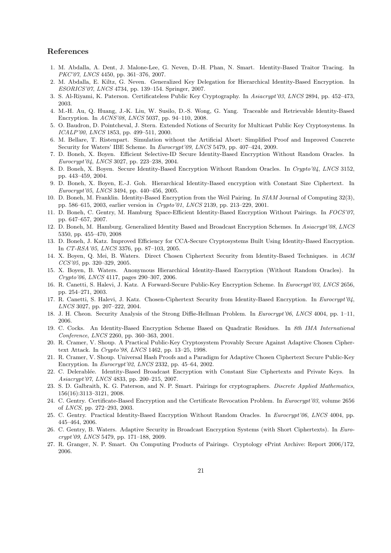## References

- 1. M. Abdalla, A. Dent, J. Malone-Lee, G. Neven, D.-H. Phan, N. Smart. Identity-Based Traitor Tracing. In PKC'07, LNCS 4450, pp. 361-376, 2007.
- 2. M. Abdalla, E. Kiltz, G. Neven. Generalized Key Delegation for Hierarchical Identity-Based Encryption. In ESORICS'07, LNCS 4734, pp. 139–154. Springer, 2007.
- 3. S. Al-Riyami, K. Paterson. Certificateless Public Key Cryptography. In Asiacrypt'03, LNCS 2894, pp. 452–473, 2003.
- 4. M.-H. Au, Q. Huang, J.-K. Liu, W. Susilo, D.-S. Wong, G. Yang. Traceable and Retrievable Identity-Based Encryption. In ACNS'08, LNCS 5037, pp. 94–110, 2008.
- 5. O. Baudron, D. Pointcheval, J. Stern. Extended Notions of Security for Multicast Public Key Cryptosystems. In ICALP'00, LNCS 1853, pp. 499–511, 2000.
- 6. M. Bellare, T. Ristenpart. Simulation without the Artificial Abort: Simplified Proof and Improved Concrete Security for Waters' IBE Scheme. In Eurocrypt'09, LNCS 5479, pp. 407-424, 2009.
- 7. D. Boneh, X. Boyen. Efficient Selective-ID Secure Identity-Based Encryption Without Random Oracles. In Eurocrypt'04, LNCS 3027, pp. 223–238, 2004.
- 8. D. Boneh, X. Boyen. Secure Identity-Based Encryption Without Random Oracles. In Crypto'04, LNCS 3152, pp. 443–459, 2004.
- 9. D. Boneh, X. Boyen, E.-J. Goh. Hierarchical Identity-Based encryption with Constant Size Ciphertext. In Eurocrypt'05, LNCS 3494, pp. 440–456, 2005.
- 10. D. Boneh, M. Franklin. Identity-Based Encryption from the Weil Pairing. In SIAM Journal of Computing 32(3), pp. 586–615, 2003, earlier version in Crypto'01, LNCS 2139, pp. 213–229, 2001.
- 11. D. Boneh, C. Gentry, M. Hamburg Space-Efficient Identity-Based Encryption Without Pairings. In FOCS'07, pp. 647–657, 2007.
- 12. D. Boneh, M. Hamburg. Generalized Identity Based and Broadcast Encryption Schemes. In Asiacrypt'08, LNCS 5350, pp. 455–470, 2008
- 13. D. Boneh, J. Katz. Improved Efficiency for CCA-Secure Cryptosystems Built Using Identity-Based Encryption. In CT-RSA'05, LNCS 3376, pp. 87–103, 2005.
- 14. X. Boyen, Q. Mei, B. Waters. Direct Chosen Ciphertext Security from Identity-Based Techniques. in ACM CCS'05, pp. 320–329, 2005.
- 15. X. Boyen, B. Waters. Anonymous Hierarchical Identity-Based Encryption (Without Random Oracles). In Crypto'06, LNCS 4117, pages 290–307, 2006.
- 16. R. Canetti, S. Halevi, J. Katz. A Forward-Secure Public-Key Encryption Scheme. In Eurocrypt'03, LNCS 2656, pp. 254–271, 2003.
- 17. R. Canetti, S. Halevi, J. Katz. Chosen-Ciphertext Security from Identity-Based Encryption. In Eurocrypt'04, LNCS 3027, pp. 207–222, 2004.
- 18. J. H. Cheon. Security Analysis of the Strong Diffie-Hellman Problem. In Eurocrypt'06, LNCS 4004, pp. 1–11, 2006.
- 19. C. Cocks. An Identity-Based Encryption Scheme Based on Quadratic Residues. In 8th IMA International Conference, LNCS 2260, pp. 360–363, 2001.
- 20. R. Cramer, V. Shoup. A Practical Public-Key Cryptosystem Provably Secure Against Adaptive Chosen Ciphertext Attack. In Crypto'98, LNCS 1462, pp. 13–25, 1998.
- 21. R. Cramer, V. Shoup. Universal Hash Proofs and a Paradigm for Adaptive Chosen Ciphertext Secure Public-Key Encryption. In Eurocrypt'02, LNCS 2332, pp. 45–64, 2002.
- 22. C. Delerablée. Identity-Based Broadcast Encryption with Constant Size Ciphertexts and Private Keys. In Asiacrypt'07, LNCS 4833, pp. 200–215, 2007.
- 23. S. D. Galbraith, K. G. Paterson, and N. P. Smart. Pairings for cryptographers. Discrete Applied Mathematics, 156(16):3113–3121, 2008.
- 24. C. Gentry. Certificate-Based Encryption and the Certificate Revocation Problem. In Eurocrypt'03, volume 2656 of LNCS, pp. 272–293, 2003.
- 25. C. Gentry. Practical Identity-Based Encryption Without Random Oracles. In Eurocrypt'06, LNCS 4004, pp. 445–464, 2006.
- 26. C. Gentry, B. Waters. Adaptive Security in Broadcast Encryption Systems (with Short Ciphertexts). In Eurocrypt'09, LNCS 5479, pp. 171–188, 2009.
- 27. R. Granger, N. P. Smart. On Computing Products of Pairings. Cryptology ePrint Archive: Report 2006/172, 2006.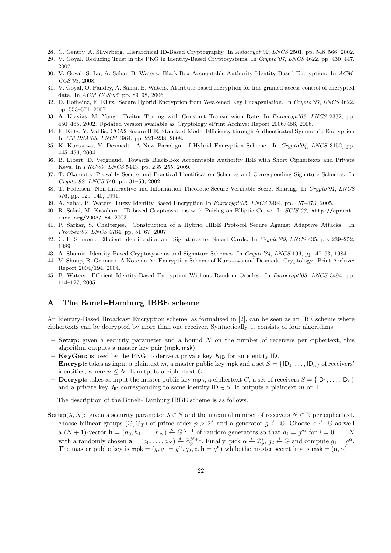- 28. C. Gentry, A. Silverberg. Hierarchical ID-Based Cryptography. In Asiacrypt'02, LNCS 2501, pp. 548–566, 2002.
- 29. V. Goyal. Reducing Trust in the PKG in Identity-Based Cryptosystems. In Crypto'07, LNCS 4622, pp. 430–447, 2007.
- 30. V. Goyal, S. Lu, A. Sahai, B. Waters. Black-Box Accountable Authority Identity Based Encryption. In ACM-CCS'08, 2008.
- 31. V. Goyal, O. Pandey, A. Sahai, B. Waters. Attribute-based encryption for fine-grained access control of encrypted data. In ACM CCS'06, pp. 89–98, 2006.
- 32. D. Hofheinz, E. Kiltz. Secure Hybrid Encryption from Weakened Key Encapsulation. In Crypto'07, LNCS 4622, pp. 553–571, 2007.
- 33. A. Kiayias, M. Yung. Traitor Tracing with Constant Transmission Rate. In Eurocrypt'02, LNCS 2332, pp. 450–465, 2002. Updated version available as Cryptology ePrint Archive: Report 2006/458, 2006.
- 34. E. Kiltz, Y. Vahlis. CCA2 Secure IBE: Standard Model Efficiency through Authenticated Symmetric Encryption In CT-RSA'08, LNCS 4964, pp. 221–238, 2008.
- 35. K. Kurosawa, Y. Desmedt. A New Paradigm of Hybrid Encryption Scheme. In Crypto'04, LNCS 3152, pp. 445–456, 2004.
- 36. B. Libert, D. Vergnaud. Towards Black-Box Accountable Authority IBE with Short Ciphertexts and Private Keys. In PKC'09, LNCS 5443, pp. 235–255, 2009.
- 37. T. Okamoto. Provably Secure and Practical Identification Schemes and Corresponding Signature Schemes. In Crypto'92, LNCS 740, pp. 31–53, 2002.
- 38. T. Pedersen. Non-Interactive and Information-Theoretic Secure Verifiable Secret Sharing. In Crypto'91, LNCS 576, pp. 129–140, 1991.
- 39. A. Sahai, B. Waters. Fuzzy Identity-Based Encryption In Eurocrypt'05, LNCS 3494, pp. 457–473, 2005.
- 40. R. Sakai, M. Kasahara. ID-based Cryptosystems with Pairing on Elliptic Curve. In SCIS'03, http://eprint. iacr.org/2003/054, 2003.
- 41. P. Sarkar, S. Chatterjee. Construction of a Hybrid HIBE Protocol Secure Against Adaptive Attacks. In ProvSec'07, LNCS 4784, pp. 51–67, 2007.
- 42. C. P. Schnorr. Efficient Identification and Signatures for Smart Cards. In Crypto'89, LNCS 435, pp. 239–252, 1989.
- 43. A. Shamir. Identity-Based Cryptosystems and Signature Schemes. In Crypto'84, LNCS 196, pp. 47–53, 1984.
- 44. V. Shoup, R. Gennaro. A Note on An Encryption Scheme of Kurosawa and Desmedt. Cryptology ePrint Archive: Report 2004/194, 2004.
- 45. B. Waters. Efficient Identity-Based Encryption Without Random Oracles. In Eurocrypt'05, LNCS 3494, pp. 114–127, 2005.

# A The Boneh-Hamburg IBBE scheme

An Identity-Based Broadcast Encryption scheme, as formalized in [2], can be seen as an IBE scheme where ciphertexts can be decrypted by more than one receiver. Syntactically, it consists of four algorithms:

- $-$  Setup: given a security parameter and a bound N on the number of receivers per ciphertext, this algorithm outputs a master key pair (mpk, msk).
- **KeyGen:** is used by the PKG to derive a private key  $K_{\text{ID}}$  for an identity ID.
- **Encrypt:** takes as input a plaintext m, a master public key mpk and a set  $S = \{1D_1, \ldots, 1D_n\}$  of receivers' identities, where  $n \leq N$ . It outputs a ciphertext C.
- Decrypt: takes as input the master public key mpk, a ciphertext C, a set of receivers  $S = \{1D_1, \ldots, ID_n\}$ and a private key  $d_{\text{ID}}$  corresponding to some identity  $\text{ID} \in S$ . It outputs a plaintext m or  $\perp$ .

The description of the Boneh-Hamburg IBBE scheme is as follows.

**Setup**( $\lambda, N$ ): given a security parameter  $\lambda \in \mathbb{N}$  and the maximal number of receivers  $N \in \mathbb{N}$  per ciphertext, choose bilinear groups  $(\mathbb{G}, \mathbb{G}_T)$  of prime order  $p > 2^{\lambda}$  and a generator  $g \stackrel{\hspace{0.1em}\mathsf{\scriptscriptstyle\$}}{\leftarrow} \mathbb{G}$ . Choose  $z \stackrel{\hspace{0.1em}\mathsf{\scriptscriptstyle\$}}{\leftarrow} \mathbb{G}$  as well a  $(N+1)$ -vector  $\mathbf{h} = (h_0, h_1, \ldots, h_N) \stackrel{\$}{\leftarrow} \mathbb{G}^{N+1}$  of random generators so that  $h_i = g^{a_i}$  for  $i = 0, \ldots, N$ with a randomly chosen  $\mathbf{a} = (a_0, \ldots, a_N) \stackrel{s}{\leftarrow} \mathbb{Z}_p^{N+1}$ . Finally, pick  $\alpha \stackrel{s}{\leftarrow} \mathbb{Z}_p^*, g_2 \stackrel{s}{\leftarrow} \mathbb{G}$  and compute  $g_1 = g^{\alpha}$ . The master public key is  $mpk = (g, g_1 = g^\alpha, g_2, z, h = g^a)$  while the master secret key is  $msk = (a, \alpha)$ .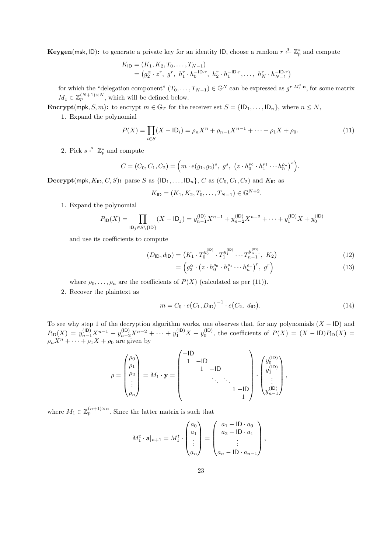**Keygen**(msk, ID): to generate a private key for an identity ID, choose a random  $r \stackrel{\$}{\leftarrow} \mathbb{Z}_p^*$  and compute

$$
K_{\mathsf{ID}} = (K_1, K_2, T_0, \dots, T_{N-1})
$$
  
=  $(g_2^{\alpha} \cdot z^r, g^r, h_1^r \cdot h_0^{-\mathsf{ID}\cdot r}, h_2^r \cdot h_1^{-\mathsf{ID}\cdot r}, \dots, h_N^r \cdot h_{N-1}^{-\mathsf{ID}\cdot r})$ 

for which the "delegation component"  $(T_0, \ldots, T_{N-1}) \in \mathbb{G}^N$  can be expressed as  $g^{r \cdot M_1^t \cdot a}$ , for some matrix  $M_1 \in \mathbb{Z}_p^{(N+1)\times N}$ , which will be defined below.

**Encrypt**(mpk, S, m): to encrypt  $m \in \mathbb{G}_T$  for the receiver set  $S = \{ \mathsf{ID}_1, \ldots, \mathsf{ID}_n \}$ , where  $n \leq N$ ,

1. Expand the polynomial

$$
P(X) = \prod_{i \in S} (X - \mathsf{ID}_i) = \rho_n X^n + \rho_{n-1} X^{n-1} + \dots + \rho_1 X + \rho_0.
$$
 (11)

2. Pick  $s \stackrel{\$}{\leftarrow} \mathbb{Z}_p^*$  and compute

$$
C = (C_0, C_1, C_2) = \left( m \cdot e(g_1, g_2)^s, g^s, (z \cdot h_0^{\rho_0} \cdot h_1^{\rho_1} \cdots h_n^{\rho_n})^s \right).
$$

Decrypt(mpk,  $K_{\text{ID}}, C, S$ ): parse S as  $\{\vert D_1, \ldots, \vert D_n\}$ , C as  $(C_0, C_1, C_2)$  and  $K_{\text{ID}}$  as

$$
K_{\mathsf{ID}} = (K_1, K_2, T_0, \dots, T_{N-1}) \in \mathbb{G}^{N+2}.
$$

1. Expand the polynomial

$$
P_{\mathsf{ID}}(X) = \prod_{\mathsf{ID}_j \in S \setminus \{\mathsf{ID}\}} (X - \mathsf{ID}_j) = y_{n-1}^{(\mathsf{ID})} X^{n-1} + y_{n-2}^{(\mathsf{ID})} X^{n-2} + \dots + y_1^{(\mathsf{ID})} X + y_0^{(\mathsf{ID})}
$$

and use its coefficients to compute

$$
(D_{\mathsf{ID}}, d_{\mathsf{ID}}) = \left( K_1 \cdot T_0^{y_0^{(\mathsf{ID})}} \cdot T_1^{y_1^{(\mathsf{ID})}} \cdots T_{n-1}^{y_{n-1}^{(\mathsf{ID})}}, K_2 \right) \tag{12}
$$

$$
= \left( g_2^{\alpha} \cdot \left( z \cdot h_0^{\rho_0} \cdot h_1^{\rho_1} \cdots h_n^{\rho_n} \right)^r, \ g^r \right) \tag{13}
$$

where  $\rho_0, \ldots, \rho_n$  are the coefficients of  $P(X)$  (calculated as per (11)).

2. Recover the plaintext as

$$
m = C_0 \cdot e(C_1, D_{\mathsf{ID}})^{-1} \cdot e(C_2, d_{\mathsf{ID}}). \tag{14}
$$

To see why step 1 of the decryption algorithm works, one observes that, for any polynomials  $(X - ID)$  and  $P_{\text{ID}}(X) = y_{n-1}^{(\text{ID})}X^{n-1} + y_{n-2}^{(\text{ID})}X^{n-2} + \cdots + y_1^{(\text{ID})}X + y_0^{(\text{ID})}$ , the coefficients of  $P(X) = (X - \text{ID})P_{\text{ID}}(X) =$  $\rho_n X^n + \cdots + \rho_1 X + \rho_0$  are given by

$$
\rho = \begin{pmatrix} \rho_0 \\ \rho_1 \\ \rho_2 \\ \vdots \\ \rho_n \end{pmatrix} = M_1 \cdot \mathbf{y} = \begin{pmatrix} -\mathsf{ID} & & & \\ 1 & -\mathsf{ID} & & \\ & 1 & -\mathsf{ID} & & \\ & & \ddots & \ddots & \\ & & & 1 & -\mathsf{ID} \\ & & & & 1 \end{pmatrix} \cdot \begin{pmatrix} y_0^{(\mathsf{ID})} \\ y_1^{(\mathsf{ID})} \\ \vdots \\ y_{n-1}^{(\mathsf{ID})} \end{pmatrix},
$$

where  $M_1 \in \mathbb{Z}_p^{(n+1)\times n}$ . Since the latter matrix is such that

$$
M_1^t \cdot \mathbf{a}|_{n+1} = M_1^t \cdot \begin{pmatrix} a_0 \\ a_1 \\ \vdots \\ a_n \end{pmatrix} = \begin{pmatrix} a_1 - \mathsf{ID} \cdot a_0 \\ a_2 - \mathsf{ID} \cdot a_1 \\ \vdots \\ a_n - \mathsf{ID} \cdot a_{n-1} \end{pmatrix},
$$